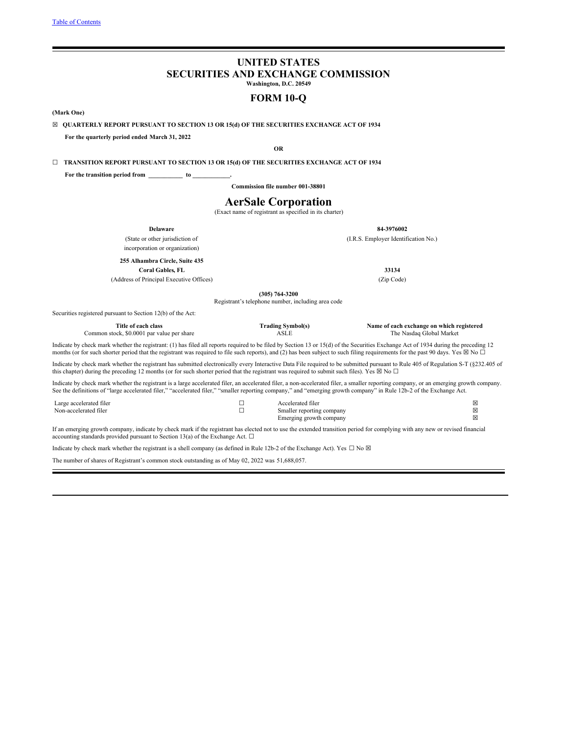# **UNITED STATES SECURITIES AND EXCHANGE COMMISSION**

**Washington, D.C. 20549**

# **FORM 10-Q**

<span id="page-0-0"></span>**(Mark One)**

☒ **QUARTERLY REPORT PURSUANT TO SECTION 13 OR 15(d) OF THE SECURITIES EXCHANGE ACT OF 1934**

**For the quarterly period ended March 31, 2022**

**OR**

☐ **TRANSITION REPORT PURSUANT TO SECTION 13 OR 15(d) OF THE SECURITIES EXCHANGE ACT OF 1934**

**For the transition period from \_\_\_\_\_\_\_\_\_\_\_ to \_\_\_\_\_\_\_\_\_\_\_\_.**

**Commission file number 001-38801**

# **AerSale Corporation**

(Exact name of registrant as specified in its charter)

| <b>Delaware</b>                                                                                                                                                                                                                                                                                                                                                                        |                  |                                                    | 84-3976002                                                            |
|----------------------------------------------------------------------------------------------------------------------------------------------------------------------------------------------------------------------------------------------------------------------------------------------------------------------------------------------------------------------------------------|------------------|----------------------------------------------------|-----------------------------------------------------------------------|
| (State or other jurisdiction of                                                                                                                                                                                                                                                                                                                                                        |                  |                                                    | (I.R.S. Employer Identification No.)                                  |
| incorporation or organization)                                                                                                                                                                                                                                                                                                                                                         |                  |                                                    |                                                                       |
| 255 Alhambra Circle, Suite 435                                                                                                                                                                                                                                                                                                                                                         |                  |                                                    |                                                                       |
| <b>Coral Gables, FL</b>                                                                                                                                                                                                                                                                                                                                                                |                  |                                                    | 33134                                                                 |
| (Address of Principal Executive Offices)                                                                                                                                                                                                                                                                                                                                               |                  |                                                    | (Zip Code)                                                            |
|                                                                                                                                                                                                                                                                                                                                                                                        | $(305)$ 764-3200 |                                                    |                                                                       |
|                                                                                                                                                                                                                                                                                                                                                                                        |                  | Registrant's telephone number, including area code |                                                                       |
| Securities registered pursuant to Section 12(b) of the Act:                                                                                                                                                                                                                                                                                                                            |                  |                                                    |                                                                       |
| Title of each class<br>Common stock, \$0,0001 par value per share                                                                                                                                                                                                                                                                                                                      |                  | <b>Trading Symbol(s)</b><br><b>ASLE</b>            | Name of each exchange on which registered<br>The Nasdaq Global Market |
| Indicate by check mark whether the registrant: (1) has filed all reports required to be filed by Section 13 or 15(d) of the Securities Exchange Act of 1934 during the preceding 12<br>months (or for such shorter period that the registrant was required to file such reports), and (2) has been subject to such filing requirements for the past 90 days. Yes $\boxtimes$ No $\Box$ |                  |                                                    |                                                                       |
| Indicate by check mark whether the registrant has submitted electronically every Interactive Data File required to be submitted pursuant to Rule 405 of Regulation S-T (§232.405 of<br>this chapter) during the preceding 12 months (or for such shorter period that the registrant was required to submit such files). Yes $\boxtimes$ No $\Box$                                      |                  |                                                    |                                                                       |
| Indicate by check mark whether the registrant is a large accelerated filer, an accelerated filer, a non-accelerated filer, a smaller reporting company, or an emerging growth company.<br>See the definitions of "large accelerated filer," "accelerated filer," "smaller reporting company," and "emerging growth company" in Rule 12b-2 of the Exchange Act.                         |                  |                                                    |                                                                       |
| Large accelerated filer                                                                                                                                                                                                                                                                                                                                                                | □                | Accelerated filer                                  | ⊠                                                                     |
| Non-accelerated filer                                                                                                                                                                                                                                                                                                                                                                  | П                | Smaller reporting company                          | ⊠                                                                     |
|                                                                                                                                                                                                                                                                                                                                                                                        |                  | Emerging growth company                            | 図                                                                     |

If an emerging growth company, indicate by check mark if the registrant has elected not to use the extended transition period for complying with any new or revised financial accounting standards provided pursuant to Section 13(a) of the Exchange Act.  $\Box$ 

Indicate by check mark whether the registrant is a shell company (as defined in Rule 12b-2 of the Exchange Act). Yes  $\Box$  No  $\boxtimes$ 

The number of shares of Registrant's common stock outstanding as of May 02, 2022 was 51,688,057.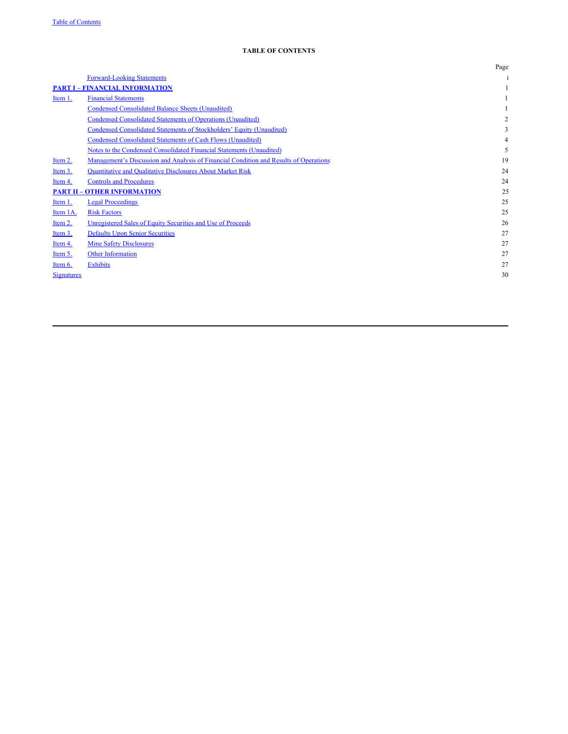|                   |                                                                                       | Page           |
|-------------------|---------------------------------------------------------------------------------------|----------------|
|                   | <b>Forward-Looking Statements</b>                                                     |                |
|                   | <b>PART I - FINANCIAL INFORMATION</b>                                                 |                |
| Item 1.           | <b>Financial Statements</b>                                                           |                |
|                   | <b>Condensed Consolidated Balance Sheets (Unaudited)</b>                              |                |
|                   | <b>Condensed Consolidated Statements of Operations (Unaudited)</b>                    | $\overline{2}$ |
|                   | Condensed Consolidated Statements of Stockholders' Equity (Unaudited)                 | 3              |
|                   | Condensed Consolidated Statements of Cash Flows (Unaudited)                           | 4              |
|                   | Notes to the Condensed Consolidated Financial Statements (Unaudited)                  | 5              |
| Item 2.           | Management's Discussion and Analysis of Financial Condition and Results of Operations | 19             |
| Item 3.           | <b>Quantitative and Qualitative Disclosures About Market Risk</b>                     | 24             |
| Item 4.           | <b>Controls and Procedures</b>                                                        | 24             |
|                   | <b>PART II - OTHER INFORMATION</b>                                                    | 25             |
| Item 1.           | <b>Legal Proceedings</b>                                                              | 25             |
| Item 1A.          | <b>Risk Factors</b>                                                                   | 25             |
| Item 2.           | Unregistered Sales of Equity Securities and Use of Proceeds                           | 26             |
| Item 3.           | <b>Defaults Upon Senior Securities</b>                                                | 27             |
| Item 4.           | <b>Mine Safety Disclosures</b>                                                        | 27             |
| Item 5.           | Other Information                                                                     | 27             |
| Item 6.           | <b>Exhibits</b>                                                                       | 27             |
| <b>Signatures</b> |                                                                                       | 30             |
|                   |                                                                                       |                |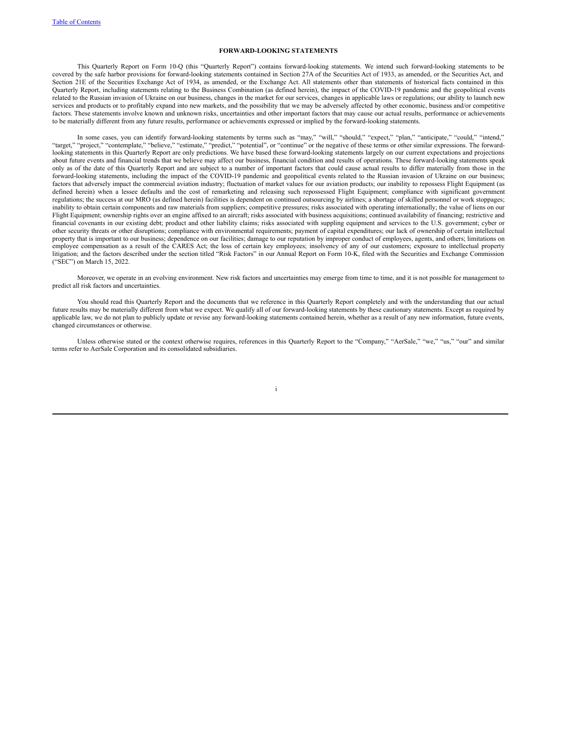## **FORWARD-LOOKING STATEMENTS**

This Quarterly Report on Form 10-Q (this "Quarterly Report") contains forward-looking statements. We intend such forward-looking statements to be covered by the safe harbor provisions for forward-looking statements contained in Section 27A of the Securities Act of 1933, as amended, or the Securities Act, and Section 21E of the Securities Exchange Act of 1934, as amended, or the Exchange Act. All statements other than statements of historical facts contained in this Quarterly Report, including statements relating to the Business Combination (as defined herein), the impact of the COVID-19 pandemic and the geopolitical events related to the Russian invasion of Ukraine on our business, changes in the market for our services, changes in applicable laws or regulations; our ability to launch new services and products or to profitably expand into new markets, and the possibility that we may be adversely affected by other economic, business and/or competitive factors. These statements involve known and unknown risks, uncertainties and other important factors that may cause our actual results, performance or achievements to be materially different from any future results, performance or achievements expressed or implied by the forward-looking statements.

In some cases, you can identify forward-looking statements by terms such as "may," "will," "should," "expect," "plan," "anticipate," "could," "intend," "target," "project," "contemplate," "believe," "estimate," "predict," "potential", or "continue" or the negative of these terms or other similar expressions. The forwardlooking statements in this Quarterly Report are only predictions. We have based these forward-looking statements largely on our current expectations and projections about future events and financial trends that we believe may affect our business, financial condition and results of operations. These forward-looking statements speak only as of the date of this Quarterly Report and are subject to a number of important factors that could cause actual results to differ materially from those in the forward-looking statements, including the impact of the COVID-19 pandemic and geopolitical events related to the Russian invasion of Ukraine on our business; factors that adversely impact the commercial aviation industry; fluctuation of market values for our aviation products; our inability to repossess Flight Equipment (as defined herein) when a lessee defaults and the cost of remarketing and releasing such repossessed Flight Equipment; compliance with significant government regulations; the success at our MRO (as defined herein) facilities is dependent on continued outsourcing by airlines; a shortage of skilled personnel or work stoppages; inability to obtain certain components and raw materials from suppliers; competitive pressures; risks associated with operating internationally; the value of liens on our Flight Equipment; ownership rights over an engine affixed to an aircraft; risks associated with business acquisitions; continued availability of financing; restrictive and financial covenants in our existing debt; product and other liability claims; risks associated with suppling equipment and services to the U.S. government; cyber or other security threats or other disruptions; compliance with environmental requirements; payment of capital expenditures; our lack of ownership of certain intellectual property that is important to our business; dependence on our facilities; damage to our reputation by improper conduct of employees, agents, and others; limitations on employee compensation as a result of the CARES Act; the loss of certain key employees; insolvency of any of our customers; exposure to intellectual property litigation; and the factors described under the section titled "Risk Factors" in our Annual Report on Form 10-K, filed with the Securities and Exchange Commission ("SEC") on March 15, 2022.

Moreover, we operate in an evolving environment. New risk factors and uncertainties may emerge from time to time, and it is not possible for management to predict all risk factors and uncertainties.

You should read this Quarterly Report and the documents that we reference in this Quarterly Report completely and with the understanding that our actual future results may be materially different from what we expect. We qualify all of our forward-looking statements by these cautionary statements. Except as required by applicable law, we do not plan to publicly update or revise any forward-looking statements contained herein, whether as a result of any new information, future events, changed circumstances or otherwise.

Unless otherwise stated or the context otherwise requires, references in this Quarterly Report to the "Company," "AerSale," "we," "us," "our" and similar terms refer to AerSale Corporation and its consolidated subsidiaries.

i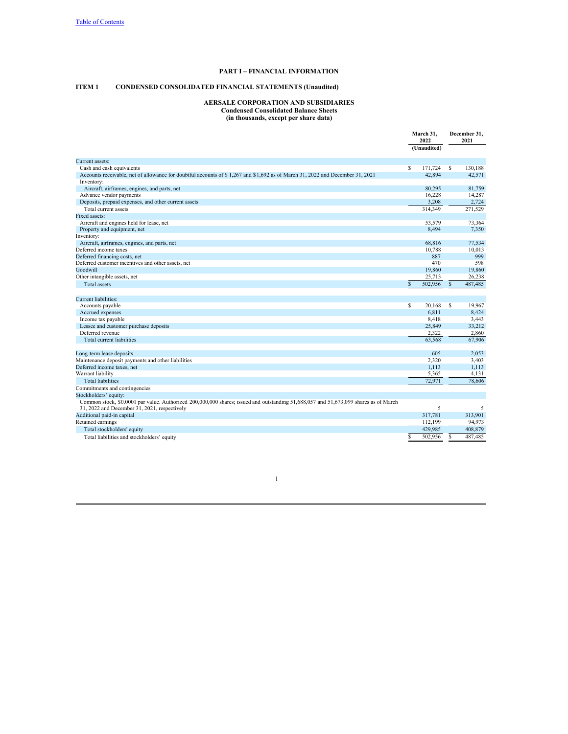# **PART I – FINANCIAL INFORMATION**

# **ITEM 1 CONDENSED CONSOLIDATED FINANCIAL STATEMENTS (Unaudited)**

#### **AERSALE CORPORATION AND SUBSIDIARIES Condensed Consolidated Balance Sheets (in thousands, except per share data)**

|                                                                                                                                      | March 31.<br>2022 |             | December 31,<br>2021 |         |
|--------------------------------------------------------------------------------------------------------------------------------------|-------------------|-------------|----------------------|---------|
|                                                                                                                                      |                   | (Unaudited) |                      |         |
| Current assets:                                                                                                                      |                   |             |                      |         |
| Cash and cash equivalents                                                                                                            | \$                | 171,724     | S                    | 130,188 |
| Accounts receivable, net of allowance for doubtful accounts of \$1,267 and \$1,692 as of March 31, 2022 and December 31, 2021        |                   | 42.894      |                      | 42.571  |
| Inventory:                                                                                                                           |                   |             |                      |         |
| Aircraft, airframes, engines, and parts, net                                                                                         |                   | 80,295      |                      | 81,759  |
| Advance vendor payments                                                                                                              |                   | 16,228      |                      | 14,287  |
| Deposits, prepaid expenses, and other current assets                                                                                 |                   | 3,208       |                      | 2,724   |
| Total current assets                                                                                                                 |                   | 314,349     |                      | 271,529 |
| Fixed assets:                                                                                                                        |                   |             |                      |         |
| Aircraft and engines held for lease, net                                                                                             |                   | 53,579      |                      | 73,364  |
| Property and equipment, net                                                                                                          |                   | 8,494       |                      | 7,350   |
| Inventory:                                                                                                                           |                   |             |                      |         |
| Aircraft, airframes, engines, and parts, net                                                                                         |                   | 68,816      |                      | 77.534  |
| Deferred income taxes                                                                                                                |                   | 10,788      |                      | 10,013  |
| Deferred financing costs, net                                                                                                        |                   | 887         |                      | 999     |
| Deferred customer incentives and other assets, net                                                                                   |                   | 470         |                      | 598     |
| Goodwill                                                                                                                             |                   | 19,860      |                      | 19,860  |
| Other intangible assets, net                                                                                                         |                   | 25,713      |                      | 26.238  |
| <b>Total assets</b>                                                                                                                  | \$                | 502,956     | $\mathbb{S}$         | 487,485 |
|                                                                                                                                      |                   |             |                      |         |
| Current liabilities:                                                                                                                 |                   |             |                      |         |
| Accounts payable                                                                                                                     | S                 | 20,168      | S                    | 19,967  |
| Accrued expenses                                                                                                                     |                   | 6,811       |                      | 8,424   |
| Income tax payable                                                                                                                   |                   | 8,418       |                      | 3,443   |
| Lessee and customer purchase deposits                                                                                                |                   | 25,849      |                      | 33,212  |
| Deferred revenue                                                                                                                     |                   | 2,322       |                      | 2,860   |
| Total current liabilities                                                                                                            |                   | 63,568      |                      | 67,906  |
|                                                                                                                                      |                   |             |                      |         |
| Long-term lease deposits                                                                                                             |                   | 605         |                      | 2,053   |
| Maintenance deposit payments and other liabilities                                                                                   |                   | 2,320       |                      | 3,403   |
| Deferred income taxes, net                                                                                                           |                   | 1,113       |                      | 1.113   |
| Warrant liability                                                                                                                    |                   | 5,365       |                      | 4,131   |
| <b>Total liabilities</b>                                                                                                             |                   | 72.971      |                      | 78,606  |
| Commitments and contingencies                                                                                                        |                   |             |                      |         |
| Stockholders' equity:                                                                                                                |                   |             |                      |         |
| Common stock, \$0.0001 par value. Authorized 200,000,000 shares; issued and outstanding 51,688,057 and 51,673,099 shares as of March |                   |             |                      |         |
| 31, 2022 and December 31, 2021, respectively                                                                                         |                   | 5           |                      | 5       |
| Additional paid-in capital                                                                                                           |                   | 317,781     |                      | 313,901 |
| Retained earnings                                                                                                                    |                   | 112,199     |                      | 94,973  |
| Total stockholders' equity                                                                                                           |                   | 429,985     |                      | 408,879 |
| Total liabilities and stockholders' equity                                                                                           | \$                | 502,956     | S                    | 487,485 |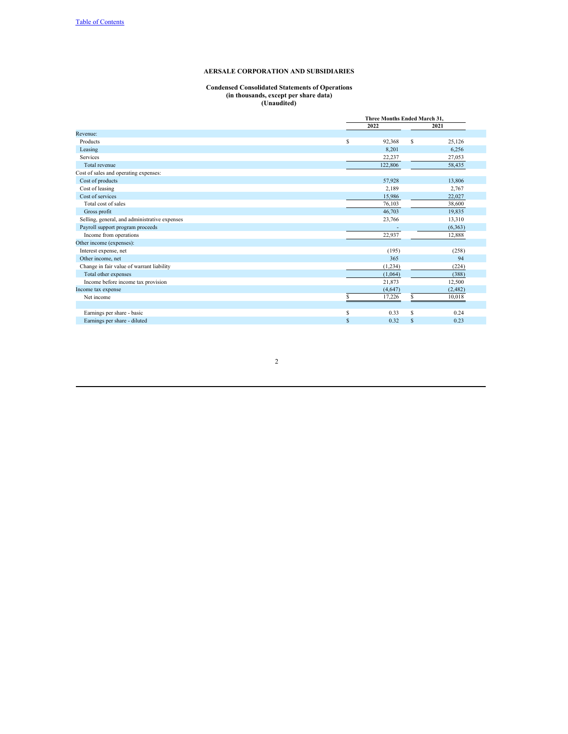#### **Condensed Consolidated Statements of Operations (in thousands, except per share data) (Unaudited)**

|                                               | Three Months Ended March 31. |   |          |  |  |  |
|-----------------------------------------------|------------------------------|---|----------|--|--|--|
|                                               | 2022                         |   | 2021     |  |  |  |
| Revenue:                                      |                              |   |          |  |  |  |
| Products                                      | \$<br>92,368                 | S | 25,126   |  |  |  |
| Leasing                                       | 8.201                        |   | 6.256    |  |  |  |
| Services                                      | 22,237                       |   | 27,053   |  |  |  |
| Total revenue                                 | 122,806                      |   | 58,435   |  |  |  |
| Cost of sales and operating expenses:         |                              |   |          |  |  |  |
| Cost of products                              | 57,928                       |   | 13,806   |  |  |  |
| Cost of leasing                               | 2.189                        |   | 2,767    |  |  |  |
| Cost of services                              | 15,986                       |   | 22,027   |  |  |  |
| Total cost of sales                           | 76,103                       |   | 38,600   |  |  |  |
| Gross profit                                  | 46,703                       |   | 19,835   |  |  |  |
| Selling, general, and administrative expenses | 23,766                       |   | 13,310   |  |  |  |
| Payroll support program proceeds              |                              |   | (6, 363) |  |  |  |
| Income from operations                        | 22,937                       |   | 12,888   |  |  |  |
| Other income (expenses):                      |                              |   |          |  |  |  |
| Interest expense, net                         | (195)                        |   | (258)    |  |  |  |
| Other income, net                             | 365                          |   | 94       |  |  |  |
| Change in fair value of warrant liability     | (1,234)                      |   | (224)    |  |  |  |
| Total other expenses                          | (1,064)                      |   | (388)    |  |  |  |
| Income before income tax provision            | 21,873                       |   | 12,500   |  |  |  |
| Income tax expense                            | (4,647)                      |   | (2,482)  |  |  |  |
| Net income                                    | \$<br>17,226                 | S | 10,018   |  |  |  |
|                                               |                              |   |          |  |  |  |
| Earnings per share - basic                    | \$<br>0.33                   | S | 0.24     |  |  |  |
| Earnings per share - diluted                  | \$<br>0.32                   | S | 0.23     |  |  |  |
|                                               |                              |   |          |  |  |  |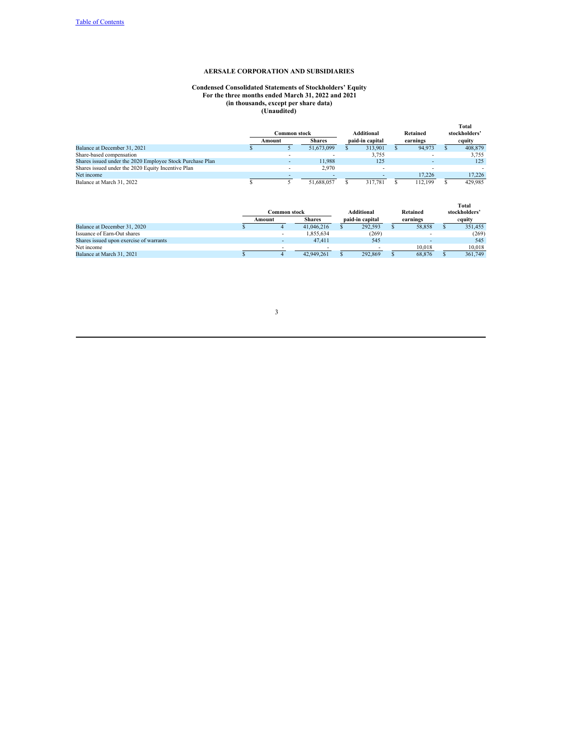#### **Condensed Consolidated Statements of Stockholders' Equity For the three months ended March 31, 2022 and 2021 (in thousands, except per share data) (Unaudited)**

|                                                           |                        |               |                               |                      | Total                   |
|-----------------------------------------------------------|------------------------|---------------|-------------------------------|----------------------|-------------------------|
|                                                           | Common stock<br>Amount | <b>Shares</b> | Additional<br>paid-in capital | Retained<br>earnings | stockholders'<br>equity |
| Balance at December 31, 2021                              |                        | 51,673,099    | 313,901                       | 94.973               | 408,879                 |
| Share-based compensation                                  |                        |               | 3.755                         |                      | 3,755                   |
| Shares issued under the 2020 Employee Stock Purchase Plan |                        | 11.988        | 125                           |                      | 125                     |
| Shares issued under the 2020 Equity Incentive Plan        |                        | 2.970         |                               |                      |                         |
| Net income                                                |                        |               |                               | 17.226               | 17.226                  |
| Balance at March 31, 2022                                 |                        | 51,688,057    | 317.781                       | 112.199              | 429.985                 |

|                                         | Common stock |               | <b>Additional</b> | Retained | <b>Total</b><br>stockholders' |
|-----------------------------------------|--------------|---------------|-------------------|----------|-------------------------------|
|                                         | Amount       | <b>Shares</b> | paid-in capital   | earnings | equity                        |
| Balance at December 31, 2020            |              | 41,046,216    | 292.593           | 58.858   | 351,455                       |
| Issuance of Earn-Out shares             |              | 1.855.634     | (269)             |          | (269)                         |
| Shares issued upon exercise of warrants |              | 47.411        | 545               |          | 545                           |
| Net income                              |              |               |                   | 10.018   | 10.018                        |
| Balance at March 31, 2021               |              | 42,949,261    | 292,869           | 68.876   | 361,749                       |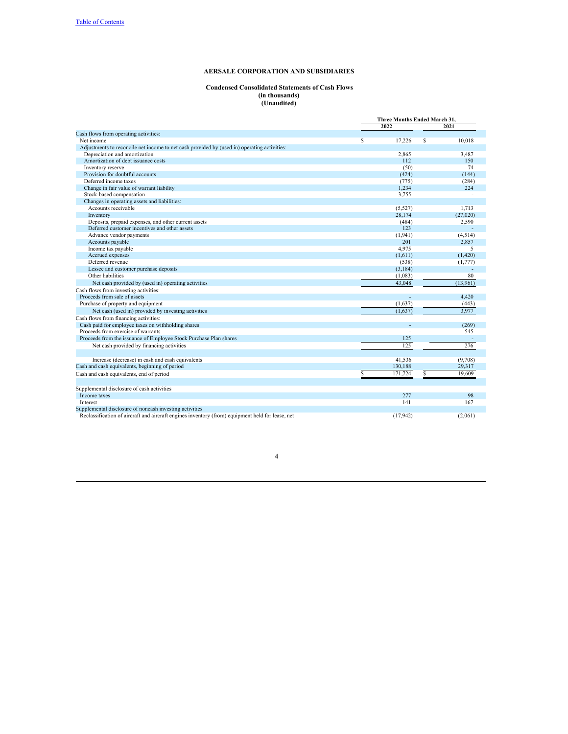## **Condensed Consolidated Statements of Cash Flows (in thousands) (Unaudited)**

|                                                                                                  |    | Three Months Ended March 31. |   |          |  |
|--------------------------------------------------------------------------------------------------|----|------------------------------|---|----------|--|
|                                                                                                  |    | 2022                         |   | 2021     |  |
| Cash flows from operating activities:                                                            |    |                              |   |          |  |
| Net income                                                                                       | S  | 17,226                       | S | 10.018   |  |
| Adjustments to reconcile net income to net cash provided by (used in) operating activities:      |    |                              |   |          |  |
| Depreciation and amortization                                                                    |    | 2.865                        |   | 3.487    |  |
| Amortization of debt issuance costs                                                              |    | 112                          |   | 150      |  |
| Inventory reserve                                                                                |    | (50)                         |   | 74       |  |
| Provision for doubtful accounts                                                                  |    | (424)                        |   | (144)    |  |
| Deferred income taxes                                                                            |    | (775)                        |   | (284)    |  |
| Change in fair value of warrant liability                                                        |    | 1,234                        |   | 224      |  |
| Stock-based compensation                                                                         |    | 3,755                        |   |          |  |
| Changes in operating assets and liabilities:                                                     |    |                              |   |          |  |
| Accounts receivable                                                                              |    | (5,527)                      |   | 1.713    |  |
| Inventory                                                                                        |    | 28,174                       |   | (27,020) |  |
| Deposits, prepaid expenses, and other current assets                                             |    | (484)                        |   | 2,590    |  |
| Deferred customer incentives and other assets                                                    |    | 123                          |   |          |  |
| Advance vendor payments                                                                          |    | (1,941)                      |   | (4,514)  |  |
| Accounts payable                                                                                 |    | 201                          |   | 2,857    |  |
| Income tax payable                                                                               |    | 4,975                        |   | 5        |  |
| Accrued expenses                                                                                 |    | (1,611)                      |   | (1,420)  |  |
| Deferred revenue                                                                                 |    | (538)                        |   | (1,777)  |  |
| Lessee and customer purchase deposits                                                            |    | (3, 184)                     |   |          |  |
| Other liabilities                                                                                |    | (1,083)                      |   | 80       |  |
| Net cash provided by (used in) operating activities                                              |    | 43,048                       |   | (13,961) |  |
| Cash flows from investing activities:                                                            |    |                              |   |          |  |
| Proceeds from sale of assets                                                                     |    | ÷                            |   | 4.420    |  |
| Purchase of property and equipment                                                               |    | (1,637)                      |   | (443)    |  |
| Net cash (used in) provided by investing activities                                              |    | (1,637)                      |   | 3,977    |  |
| Cash flows from financing activities:                                                            |    |                              |   |          |  |
| Cash paid for employee taxes on withholding shares                                               |    | ×.                           |   | (269)    |  |
| Proceeds from exercise of warrants                                                               |    |                              |   | 545      |  |
| Proceeds from the issuance of Employee Stock Purchase Plan shares                                |    | 125                          |   |          |  |
| Net cash provided by financing activities                                                        |    | 125                          |   | 276      |  |
|                                                                                                  |    |                              |   |          |  |
| Increase (decrease) in cash and cash equivalents                                                 |    | 41.536                       |   | (9,708)  |  |
| Cash and cash equivalents, beginning of period                                                   |    | 130,188                      |   | 29.317   |  |
| Cash and cash equivalents, end of period                                                         | \$ | 171,724                      | S | 19,609   |  |
|                                                                                                  |    |                              |   |          |  |
| Supplemental disclosure of cash activities                                                       |    |                              |   |          |  |
| Income taxes                                                                                     |    | 277                          |   | 98       |  |
| Interest                                                                                         |    | 141                          |   | 167      |  |
| Supplemental disclosure of noncash investing activities                                          |    |                              |   |          |  |
| Reclassification of aircraft and aircraft engines inventory (from) equipment held for lease, net |    | (17, 942)                    |   | (2,061)  |  |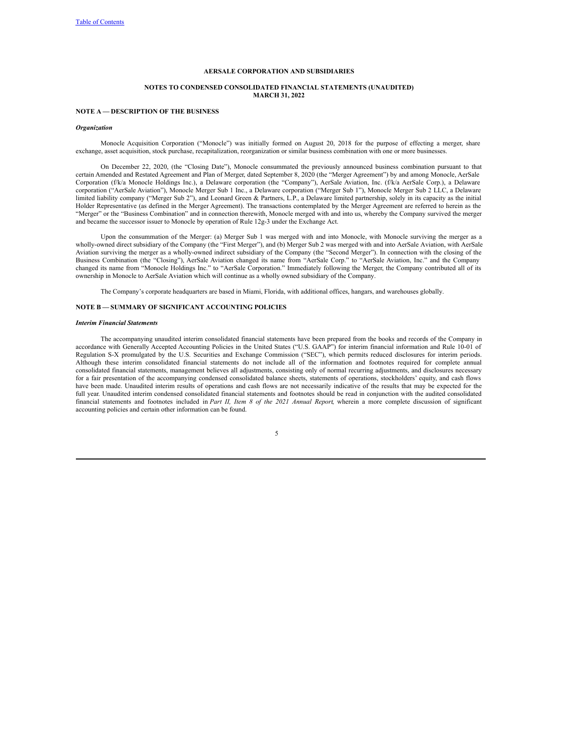### **NOTES TO CONDENSED CONSOLIDATED FINANCIAL STATEMENTS (UNAUDITED) MARCH 31, 2022**

## **NOTE A — DESCRIPTION OF THE BUSINESS**

#### *Organization*

Monocle Acquisition Corporation ("Monocle") was initially formed on August 20, 2018 for the purpose of effecting a merger, share exchange, asset acquisition, stock purchase, recapitalization, reorganization or similar business combination with one or more businesses.

On December 22, 2020, (the "Closing Date"), Monocle consummated the previously announced business combination pursuant to that certain Amended and Restated Agreement and Plan of Merger, dated September 8, 2020 (the "Merger Agreement") by and among Monocle, AerSale Corporation (f/k/a Monocle Holdings Inc.), a Delaware corporation (the "Company"), AerSale Aviation, Inc. (f/k/a AerSale Corp.), a Delaware corporation ("AerSale Aviation"), Monocle Merger Sub 1 Inc., a Delaware corporation ("Merger Sub 1"), Monocle Merger Sub 2 LLC, a Delaware limited liability company ("Merger Sub 2"), and Leonard Green & Partners, L.P., a Delaware limited partnership, solely in its capacity as the initial Holder Representative (as defined in the Merger Agreement). The transactions contemplated by the Merger Agreement are referred to herein as the "Merger" or the "Business Combination" and in connection therewith, Monocle merged with and into us, whereby the Company survived the merger and became the successor issuer to Monocle by operation of Rule 12g-3 under the Exchange Act.

Upon the consummation of the Merger: (a) Merger Sub 1 was merged with and into Monocle, with Monocle surviving the merger as a wholly-owned direct subsidiary of the Company (the "First Merger"), and (b) Merger Sub 2 was merged with and into AerSale Aviation, with AerSale Aviation surviving the merger as a wholly-owned indirect subsidiary of the Company (the "Second Merger"). In connection with the closing of the Business Combination (the "Closing"), AerSale Aviation changed its name from "AerSale Corp." to "AerSale Aviation, Inc." and the Company changed its name from "Monocle Holdings Inc." to "AerSale Corporation." Immediately following the Merger, the Company contributed all of its ownership in Monocle to AerSale Aviation which will continue as a wholly owned subsidiary of the Company.

The Company's corporate headquarters are based in Miami, Florida, with additional offices, hangars, and warehouses globally.

## **NOTE B — SUMMARY OF SIGNIFICANT ACCOUNTING POLICIES**

### *Interim Financial Statements*

The accompanying unaudited interim consolidated financial statements have been prepared from the books and records of the Company in accordance with Generally Accepted Accounting Policies in the United States ("U.S. GAAP") for interim financial information and Rule 10-01 of Regulation S-X promulgated by the U.S. Securities and Exchange Commission ("SEC"), which permits reduced disclosures for interim periods. Although these interim consolidated financial statements do not include all of the information and footnotes required for complete annual consolidated financial statements, management believes all adjustments, consisting only of normal recurring adjustments, and disclosures necessary for a fair presentation of the accompanying condensed consolidated balance sheets, statements of operations, stockholders' equity, and cash flows have been made. Unaudited interim results of operations and cash flows are not necessarily indicative of the results that may be expected for the full year. Unaudited interim condensed consolidated financial statements and footnotes should be read in conjunction with the audited consolidated financial statements and footnotes included in *Part II, Item 8 of the 2021 Annual Report*, wherein a more complete discussion of significant accounting policies and certain other information can be found.

| ۰. |  |  |
|----|--|--|
|    |  |  |
|    |  |  |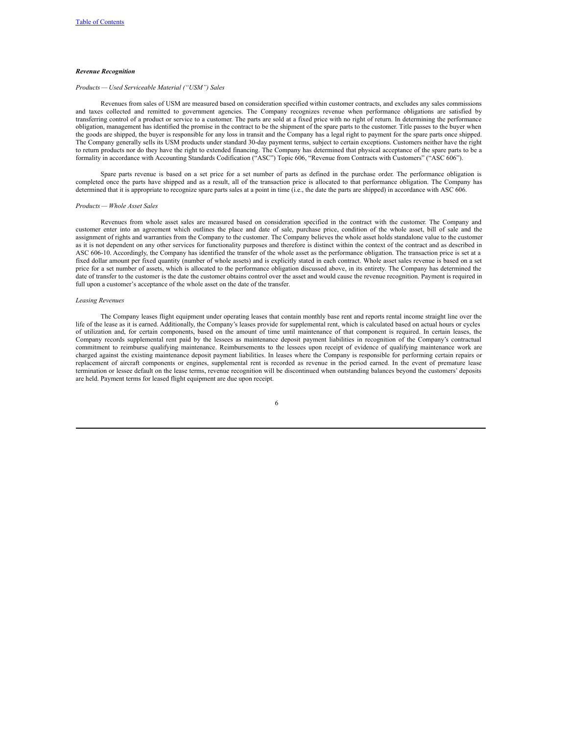## *Revenue Recognition*

#### *Products — Used Serviceable Material ("USM") Sales*

Revenues from sales of USM are measured based on consideration specified within customer contracts, and excludes any sales commissions and taxes collected and remitted to government agencies. The Company recognizes revenue when performance obligations are satisfied by transferring control of a product or service to a customer. The parts are sold at a fixed price with no right of return. In determining the performance obligation, management has identified the promise in the contract to be the shipment of the spare parts to the customer. Title passes to the buyer when the goods are shipped, the buyer is responsible for any loss in transit and the Company has a legal right to payment for the spare parts once shipped. The Company generally sells its USM products under standard 30-day payment terms, subject to certain exceptions. Customers neither have the right to return products nor do they have the right to extended financing. The Company has determined that physical acceptance of the spare parts to be a formality in accordance with Accounting Standards Codification ("ASC") Topic 606, "Revenue from Contracts with Customers" ("ASC 606").

Spare parts revenue is based on a set price for a set number of parts as defined in the purchase order. The performance obligation is completed once the parts have shipped and as a result, all of the transaction price is allocated to that performance obligation. The Company has determined that it is appropriate to recognize spare parts sales at a point in time (i.e., the date the parts are shipped) in accordance with ASC 606.

#### *Products — Whole Asset Sales*

Revenues from whole asset sales are measured based on consideration specified in the contract with the customer. The Company and customer enter into an agreement which outlines the place and date of sale, purchase price, condition of the whole asset, bill of sale and the assignment of rights and warranties from the Company to the customer. The Company believes the whole asset holds standalone value to the customer as it is not dependent on any other services for functionality purposes and therefore is distinct within the context of the contract and as described in ASC 606-10. Accordingly, the Company has identified the transfer of the whole asset as the performance obligation. The transaction price is set at a fixed dollar amount per fixed quantity (number of whole assets) and is explicitly stated in each contract. Whole asset sales revenue is based on a set price for a set number of assets, which is allocated to the performance obligation discussed above, in its entirety. The Company has determined the date of transfer to the customer is the date the customer obtains control over the asset and would cause the revenue recognition. Payment is required in full upon a customer's acceptance of the whole asset on the date of the transfer.

#### *Leasing Revenues*

The Company leases flight equipment under operating leases that contain monthly base rent and reports rental income straight line over the life of the lease as it is earned. Additionally, the Company's leases provide for supplemental rent, which is calculated based on actual hours or cycles of utilization and, for certain components, based on the amount of time until maintenance of that component is required. In certain leases, the Company records supplemental rent paid by the lessees as maintenance deposit payment liabilities in recognition of the Company's contractual commitment to reimburse qualifying maintenance. Reimbursements to the lessees upon receipt of evidence of qualifying maintenance work are charged against the existing maintenance deposit payment liabilities. In leases where the Company is responsible for performing certain repairs or replacement of aircraft components or engines, supplemental rent is recorded as revenue in the period earned. In the event of premature lease termination or lessee default on the lease terms, revenue recognition will be discontinued when outstanding balances beyond the customers' deposits are held. Payment terms for leased flight equipment are due upon receipt.

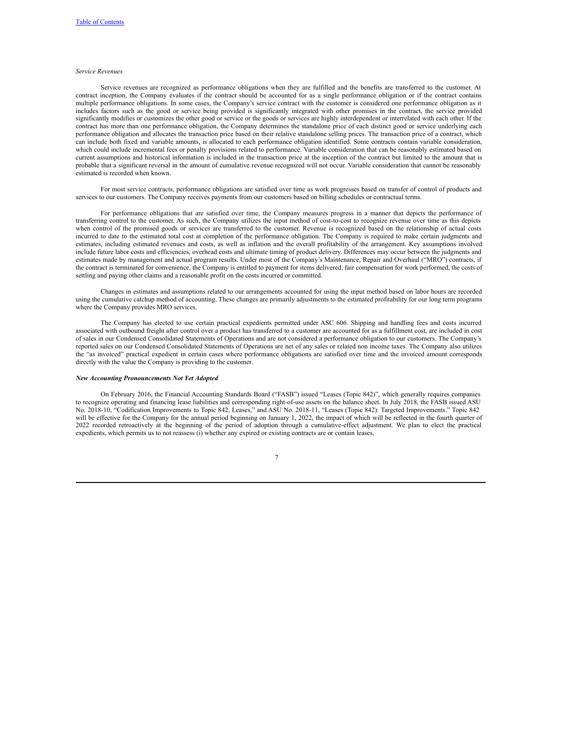## *Service Revenues*

Service revenues are recognized as performance obligations when they are fulfilled and the benefits are transferred to the customer. At contract inception, the Company evaluates if the contract should be accounted for as a single performance obligation or if the contract contains multiple performance obligations. In some cases, the Company's service contract with the customer is considered one performance obligation as it includes factors such as the good or service being provided is significantly integrated with other promises in the contract, the service provided significantly modifies or customizes the other good or service or the goods or services are highly interdependent or interrelated with each other. If the contract has more than one performance obligation, the Company determines the standalone price of each distinct good or service underlying each performance obligation and allocates the transaction price based on their relative standalone selling prices. The transaction price of a contract, which can include both fixed and variable amounts, is allocated to each performance obligation identified. Some contracts contain variable consideration, which could include incremental fees or penalty provisions related to performance. Variable consideration that can be reasonably estimated based on current assumptions and historical information is included in the transaction price at the inception of the contract but limited to the amount that is probable that a significant reversal in the amount of cumulative revenue recognized will not occur. Variable consideration that cannot be reasonably estimated is recorded when known.

For most service contracts, performance obligations are satisfied over time as work progresses based on transfer of control of products and services to our customers. The Company receives payments from our customers based on billing schedules or contractual terms.

For performance obligations that are satisfied over time, the Company measures progress in a manner that depicts the performance of transferring control to the customer. As such, the Company utilizes the input method of cost-to-cost to recognize revenue over time as this depicts when control of the promised goods or services are transferred to the customer. Revenue is recognized based on the relationship of actual costs incurred to date to the estimated total cost at completion of the performance obligation. The Company is required to make certain judgments and estimates, including estimated revenues and costs, as well as inflation and the overall profitability of the arrangement. Key assumptions involved include future labor costs and efficiencies, overhead costs and ultimate timing of product delivery. Differences may occur between the judgments and estimates made by management and actual program results. Under most of the Company's Maintenance, Repair and Overhaul ("MRO") contracts, if the contract is terminated for convenience, the Company is entitled to payment for items delivered, fair compensation for work performed, the costs of settling and paying other claims and a reasonable profit on the costs incurred or committed.

Changes in estimates and assumptions related to our arrangements accounted for using the input method based on labor hours are recorded using the cumulative catchup method of accounting. These changes are primarily adjustments to the estimated profitability for our long term programs where the Company provides MRO services.

The Company has elected to use certain practical expedients permitted under ASC 606. Shipping and handling fees and costs incurred associated with outbound freight after control over a product has transferred to a customer are accounted for as a fulfillment cost, are included in cost of sales in our Condensed Consolidated Statements of Operations and are not considered a performance obligation to our customers. The Company's reported sales on our Condensed Consolidated Statements of Operations are net of any sales or related non income taxes. The Company also utilizes the "as invoiced" practical expedient in certain cases where performance obligations are satisfied over time and the invoiced amount corresponds directly with the value the Company is providing to the customer.

#### *New Accounting Pronouncements Not Yet Adopted*

On February 2016, the Financial Accounting Standards Board ("FASB") issued "Leases (Topic 842)", which generally requires companies to recognize operating and financing lease liabilities and corresponding right-of-use assets on the balance sheet. In July 2018, the FASB issued ASU No. 2018-10, "Codification Improvements to Topic 842, Leases," and ASU No. 2018-11, "Leases (Topic 842): Targeted Improvements." Topic 842 will be effective for the Company for the annual period beginning on January 1, 2022, the impact of which will be reflected in the fourth quarter of 2022 recorded retroactively at the beginning of the period of adoption through a cumulative-effect adjustment. We plan to elect the practical expedients, which permits us to not reassess (i) whether any expired or existing contracts are or contain leases,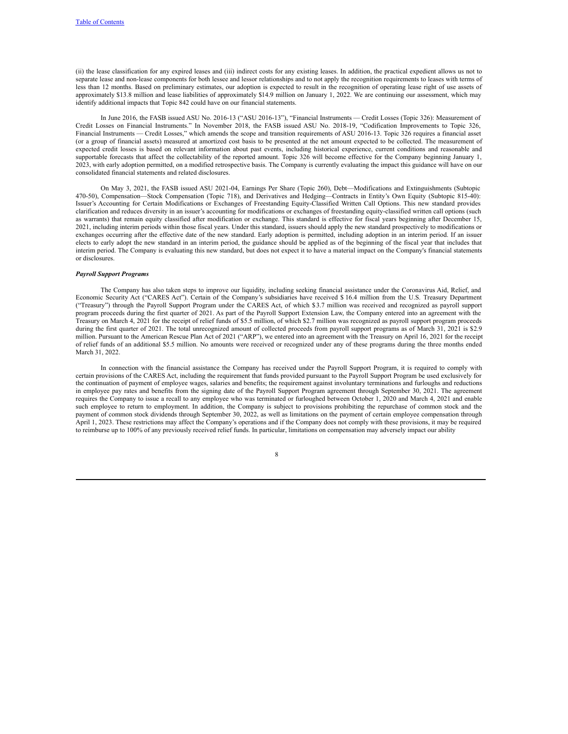(ii) the lease classification for any expired leases and (iii) indirect costs for any existing leases. In addition, the practical expedient allows us not to separate lease and non-lease components for both lessee and lessor relationships and to not apply the recognition requirements to leases with terms of less than 12 months. Based on preliminary estimates, our adoption is expected to result in the recognition of operating lease right of use assets of approximately \$13.8 million and lease liabilities of approximately \$14.9 million on January 1, 2022. We are continuing our assessment, which may identify additional impacts that Topic 842 could have on our financial statements.

In June 2016, the FASB issued ASU No. 2016-13 ("ASU 2016-13"), "Financial Instruments — Credit Losses (Topic 326): Measurement of Credit Losses on Financial Instruments." In November 2018, the FASB issued ASU No. 2018-19, "Codification Improvements to Topic 326, Financial Instruments — Credit Losses," which amends the scope and transition requirements of ASU 2016-13. Topic 326 requires a financial asset (or a group of financial assets) measured at amortized cost basis to be presented at the net amount expected to be collected. The measurement of expected credit losses is based on relevant information about past events, including historical experience, current conditions and reasonable and supportable forecasts that affect the collectability of the reported amount. Topic 326 will become effective for the Company beginning January 1, 2023, with early adoption permitted, on a modified retrospective basis. The Company is currently evaluating the impact this guidance will have on our consolidated financial statements and related disclosures.

On May 3, 2021, the FASB issued ASU 2021-04, Earnings Per Share (Topic 260), Debt—Modifications and Extinguishments (Subtopic 470-50), Compensation—Stock Compensation (Topic 718), and Derivatives and Hedging—Contracts in Entity's Own Equity (Subtopic 815-40): Issuer's Accounting for Certain Modifications or Exchanges of Freestanding Equity-Classified Written Call Options. This new standard provides clarification and reduces diversity in an issuer's accounting for modifications or exchanges of freestanding equity-classified written call options (such as warrants) that remain equity classified after modification or exchange. This standard is effective for fiscal years beginning after December 15, 2021, including interim periods within those fiscal years. Under this standard, issuers should apply the new standard prospectively to modifications or exchanges occurring after the effective date of the new standard. Early adoption is permitted, including adoption in an interim period. If an issuer elects to early adopt the new standard in an interim period, the guidance should be applied as of the beginning of the fiscal year that includes that interim period. The Company is evaluating this new standard, but does not expect it to have a material impact on the Company's financial statements or disclosures.

# *Payroll Support Programs*

The Company has also taken steps to improve our liquidity, including seeking financial assistance under the Coronavirus Aid, Relief, and Economic Security Act ("CARES Act"). Certain of the Company's subsidiaries have received \$ 16.4 million from the U.S. Treasury Department ("Treasury") through the Payroll Support Program under the CARES Act, of which \$3.7 million was received and recognized as payroll support program proceeds during the first quarter of 2021. As part of the Payroll Support Extension Law, the Company entered into an agreement with the Treasury on March 4, 2021 for the receipt of relief funds of \$5.5 million, of which \$2.7 million was recognized as payroll support program proceeds during the first quarter of 2021. The total unrecognized amount of collected proceeds from payroll support programs as of March 31, 2021 is \$2.9 million. Pursuant to the American Rescue Plan Act of 2021 ("ARP"), we entered into an agreement with the Treasury on April 16, 2021 for the receipt of relief funds of an additional \$5.5 million. No amounts were received or recognized under any of these programs during the three months ended March 31, 2022.

In connection with the financial assistance the Company has received under the Payroll Support Program, it is required to comply with certain provisions of the CARES Act, including the requirement that funds provided pursuant to the Payroll Support Program be used exclusively for the continuation of payment of employee wages, salaries and benefits; the requirement against involuntary terminations and furloughs and reductions in employee pay rates and benefits from the signing date of the Payroll Support Program agreement through September 30, 2021. The agreement requires the Company to issue a recall to any employee who was terminated or furloughed between October 1, 2020 and March 4, 2021 and enable such employee to return to employment. In addition, the Company is subject to provisions prohibiting the repurchase of common stock and the payment of common stock dividends through September 30, 2022, as well as limitations on the payment of certain employee compensation through April 1, 2023. These restrictions may affect the Company's operations and if the Company does not comply with these provisions, it may be required to reimburse up to 100% of any previously received relief funds. In particular, limitations on compensation may adversely impact our ability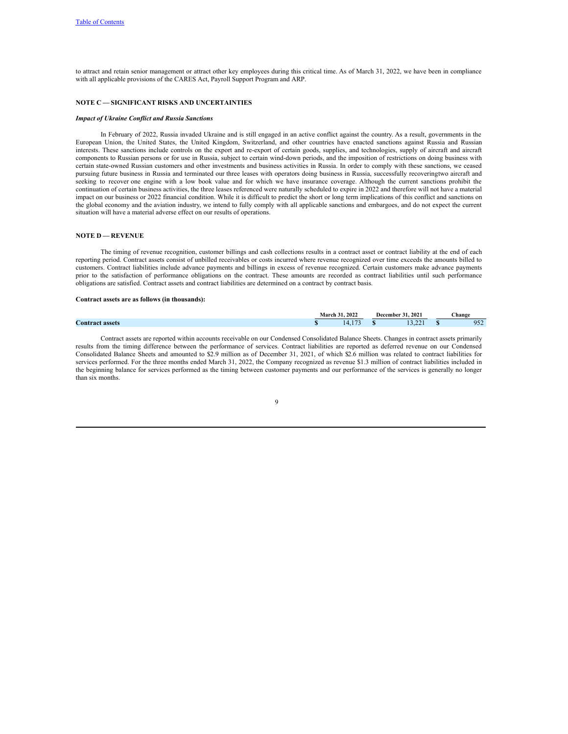to attract and retain senior management or attract other key employees during this critical time. As of March 31, 2022, we have been in compliance with all applicable provisions of the CARES Act, Payroll Support Program and ARP.

## **NOTE C — SIGNIFICANT RISKS AND UNCERTAINTIES**

#### *Impact of Ukraine Conflict and Russia Sanctions*

In February of 2022, Russia invaded Ukraine and is still engaged in an active conflict against the country. As a result, governments in the European Union, the United States, the United Kingdom, Switzerland, and other countries have enacted sanctions against Russia and Russian interests. These sanctions include controls on the export and re-export of certain goods, supplies, and technologies, supply of aircraft and aircraft components to Russian persons or for use in Russia, subject to certain wind-down periods, and the imposition of restrictions on doing business with certain state-owned Russian customers and other investments and business activities in Russia. In order to comply with these sanctions, we ceased pursuing future business in Russia and terminated our three leases with operators doing business in Russia, successfully recoveringtwo aircraft and seeking to recover one engine with a low book value and for which we have insurance coverage. Although the current sanctions prohibit the continuation of certain business activities, the three leases referenced were naturally scheduled to expire in 2022 and therefore will not have a material impact on our business or 2022 financial condition. While it is difficult to predict the short or long term implications of this conflict and sanctions on the global economy and the aviation industry, we intend to fully comply with all applicable sanctions and embargoes, and do not expect the current situation will have a material adverse effect on our results of operations.

## **NOTE D — REVENUE**

The timing of revenue recognition, customer billings and cash collections results in a contract asset or contract liability at the end of each reporting period. Contract assets consist of unbilled receivables or costs incurred where revenue recognized over time exceeds the amounts billed to customers. Contract liabilities include advance payments and billings in excess of revenue recognized. Certain customers make advance payments prior to the satisfaction of performance obligations on the contract. These amounts are recorded as contract liabilities until such performance obligations are satisfied. Contract assets and contract liabilities are determined on a contract by contract basis.

#### **Contract assets are as follows (in thousands):**

|                        | March | 1.2022 | December | .2021       | Change     |
|------------------------|-------|--------|----------|-------------|------------|
| <b>Contract assets</b> |       |        |          | $\sim$<br>. | 052<br>ے ر |

Contract assets are reported within accounts receivable on our Condensed Consolidated Balance Sheets. Changes in contract assets primarily results from the timing difference between the performance of services. Contract liabilities are reported as deferred revenue on our Condensed Consolidated Balance Sheets and amounted to \$2.9 million as of December 31, 2021, of which \$2.6 million was related to contract liabilities for services performed. For the three months ended March 31, 2022, the Company recognized as revenue \$1.3 million of contract liabilities included in the beginning balance for services performed as the timing between customer payments and our performance of the services is generally no longer than six months.

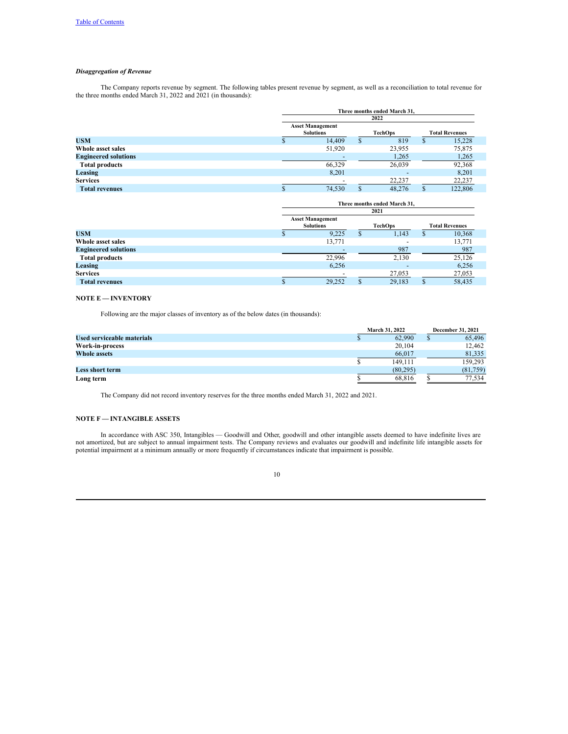# *Disaggregation of Revenue*

The Company reports revenue by segment. The following tables present revenue by segment, as well as a reconciliation to total revenue for the three months ended March 31, 2022 and 2021 (in thousands):

|                             | Three months ended March 31.                |   |        |                       |         |  |  |  |
|-----------------------------|---------------------------------------------|---|--------|-----------------------|---------|--|--|--|
|                             | 2022                                        |   |        |                       |         |  |  |  |
|                             | <b>Asset Management</b><br><b>Solutions</b> |   |        | <b>Total Revenues</b> |         |  |  |  |
| <b>USM</b>                  | 14.409                                      | S | 819    | S                     | 15,228  |  |  |  |
| Whole asset sales           | 51,920                                      |   | 23,955 |                       | 75,875  |  |  |  |
| <b>Engineered solutions</b> |                                             |   | 1,265  |                       | 1,265   |  |  |  |
| <b>Total products</b>       | 66,329                                      |   | 26,039 |                       | 92,368  |  |  |  |
| Leasing                     | 8,201                                       |   |        |                       | 8,201   |  |  |  |
| <b>Services</b>             |                                             |   | 22,237 |                       | 22,237  |  |  |  |
| <b>Total revenues</b>       | 74.530                                      |   | 48,276 |                       | 122,806 |  |  |  |

|                             | Three months ended March 31.                           |   |        |                       |        |  |  |  |
|-----------------------------|--------------------------------------------------------|---|--------|-----------------------|--------|--|--|--|
|                             | 2021                                                   |   |        |                       |        |  |  |  |
|                             | <b>Asset Management</b><br><b>Solutions</b><br>TechOps |   |        | <b>Total Revenues</b> |        |  |  |  |
| <b>USM</b>                  | 9.225                                                  | S | 1,143  |                       | 10,368 |  |  |  |
| Whole asset sales           | 13,771                                                 |   |        |                       | 13,771 |  |  |  |
| <b>Engineered solutions</b> |                                                        |   | 987    |                       | 987    |  |  |  |
| <b>Total products</b>       | 22,996                                                 |   | 2,130  |                       | 25,126 |  |  |  |
| Leasing                     | 6,256                                                  |   |        |                       | 6,256  |  |  |  |
| <b>Services</b>             |                                                        |   | 27,053 |                       | 27,053 |  |  |  |
| <b>Total revenues</b>       | 29,252                                                 |   | 29.183 |                       | 58.435 |  |  |  |

## **NOTE E — INVENTORY**

Following are the major classes of inventory as of the below dates (in thousands):

|                            |  | <b>March 31, 2022</b> | December 31, 2021 |
|----------------------------|--|-----------------------|-------------------|
| Used serviceable materials |  | 62,990                | 65,496            |
| Work-in-process            |  | 20,104                | 12.462            |
| <b>Whole assets</b>        |  | 66,017                | 81.335            |
|                            |  | 149.111               | 159.293           |
| Less short term            |  | (80.295)              | (81,759)          |
| Long term                  |  | 68.816                | 77.534            |

The Company did not record inventory reserves for the three months ended March 31, 2022 and 2021.

# **NOTE F — INTANGIBLE ASSETS**

In accordance with ASC 350, Intangibles — Goodwill and Other, goodwill and other intangible assets deemed to have indefinite lives are not amortized, but are subject to annual impairment tests. The Company reviews and evaluates our goodwill and indefinite life intangible assets for potential impairment at a minimum annually or more frequently if circumstances indicate that impairment is possible.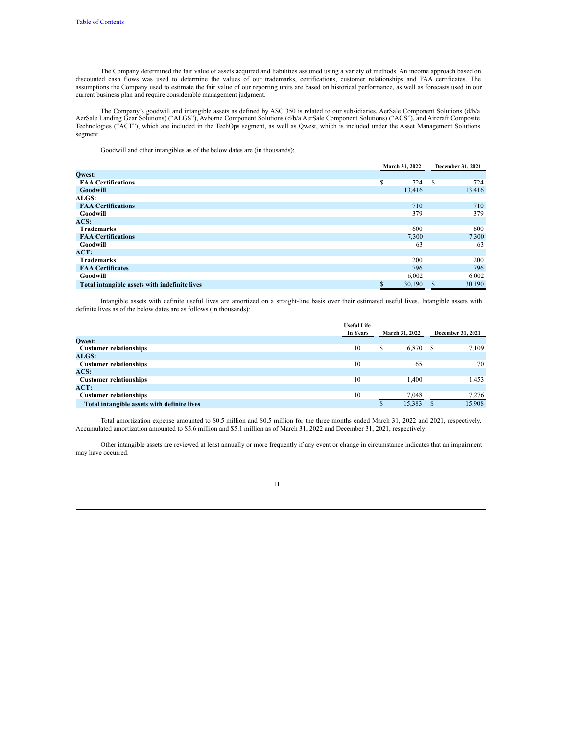The Company determined the fair value of assets acquired and liabilities assumed using a variety of methods. An income approach based on discounted cash flows was used to determine the values of our trademarks, certifications, customer relationships and FAA certificates. The assumptions the Company used to estimate the fair value of our reporting units are based on historical performance, as well as forecasts used in our current business plan and require considerable management judgment.

The Company's goodwill and intangible assets as defined by ASC 350 is related to our subsidiaries, AerSale Component Solutions (d/b/a AerSale Landing Gear Solutions) ("ALGS"), Avborne Component Solutions (d/b/a AerSale Component Solutions) ("ACS"), and Aircraft Composite Technologies ("ACT"), which are included in the TechOps segment, as well as Qwest, which is included under the Asset Management Solutions segment.

Goodwill and other intangibles as of the below dates are (in thousands):

|                                               |        | March 31, 2022<br>December 31, 2021 |           |
|-----------------------------------------------|--------|-------------------------------------|-----------|
| Qwest:                                        |        |                                     |           |
| <b>FAA Certifications</b>                     | S      | 724                                 | -S<br>724 |
| Goodwill                                      | 13,416 |                                     | 13,416    |
| ALGS:                                         |        |                                     |           |
| <b>FAA Certifications</b>                     |        | 710                                 | 710       |
| Goodwill                                      |        | 379                                 | 379       |
| ACS:                                          |        |                                     |           |
| <b>Trademarks</b>                             |        | 600                                 | 600       |
| <b>FAA Certifications</b>                     | 7,300  |                                     | 7,300     |
| Goodwill                                      |        | 63                                  | 63        |
| ACT:                                          |        |                                     |           |
| <b>Trademarks</b>                             |        | 200                                 | 200       |
| <b>FAA Certificates</b>                       |        | 796                                 | 796       |
| Goodwill                                      | 6,002  |                                     | 6,002     |
| Total intangible assets with indefinite lives | 30,190 |                                     | 30,190    |

Intangible assets with definite useful lives are amortized on a straight-line basis over their estimated useful lives. Intangible assets with definite lives as of the below dates are as follows (in thousands):

|                                             | <b>Useful Life</b> |                       |        |                   |
|---------------------------------------------|--------------------|-----------------------|--------|-------------------|
|                                             | In Years           | <b>March 31, 2022</b> |        | December 31, 2021 |
| <b>Qwest:</b>                               |                    |                       |        |                   |
| <b>Customer relationships</b>               | 10                 | S                     | 6,870  | 7.109             |
| <b>ALGS:</b>                                |                    |                       |        |                   |
| <b>Customer relationships</b>               | 10                 |                       | 65     | 70                |
| ACS:                                        |                    |                       |        |                   |
| <b>Customer relationships</b>               | 10                 |                       | l.400  | 1,453             |
| ACT:                                        |                    |                       |        |                   |
| <b>Customer relationships</b>               | 10                 |                       | 7,048  | 7,276             |
| Total intangible assets with definite lives |                    |                       | 15,383 | 15,908            |

Total amortization expense amounted to \$0.5 million and \$0.5 million for the three months ended March 31, 2022 and 2021, respectively. Accumulated amortization amounted to \$5.6 million and \$5.1 million as of March 31, 2022 and December 31, 2021, respectively.

Other intangible assets are reviewed at least annually or more frequently if any event or change in circumstance indicates that an impairment may have occurred.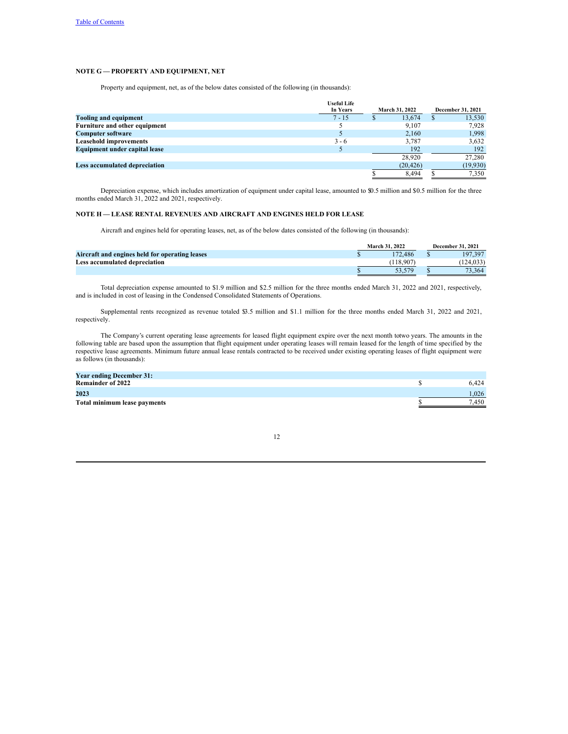# **NOTE G — PROPERTY AND EQUIPMENT, NET**

Property and equipment, net, as of the below dates consisted of the following (in thousands):

|                                      | <b>Useful Life</b> |                        |                   |          |
|--------------------------------------|--------------------|------------------------|-------------------|----------|
|                                      | In Years           | March 31, 2022         | December 31, 2021 |          |
| <b>Tooling and equipment</b>         | $7 - 15$           | 13.674<br><sup>2</sup> |                   | 13,530   |
| Furniture and other equipment        |                    | 9,107                  |                   | 7,928    |
| <b>Computer software</b>             |                    | 2.160                  |                   | 1,998    |
| <b>Leasehold improvements</b>        | $3 - 6$            | 3.787                  |                   | 3,632    |
| <b>Equipment under capital lease</b> |                    | 192                    |                   | 192      |
|                                      |                    | 28.920                 |                   | 27,280   |
| Less accumulated depreciation        |                    | (20, 426)              |                   | (19,930) |
|                                      |                    | 8.494                  |                   | 7.350    |

Depreciation expense, which includes amortization of equipment under capital lease, amounted to \$0.5 million and \$0.5 million for the three months ended March 31, 2022 and 2021, respectively.

# **NOTE H — LEASE RENTAL REVENUES AND AIRCRAFT AND ENGINES HELD FOR LEASE**

Aircraft and engines held for operating leases, net, as of the below dates consisted of the following (in thousands):

|                                                | <b>December 31, 2021</b><br>March 31, 2022 |  |           |
|------------------------------------------------|--------------------------------------------|--|-----------|
| Aircraft and engines held for operating leases | 172.486                                    |  | 197.397   |
| Less accumulated depreciation                  | 118.907                                    |  | (124.033) |
|                                                | 53 579                                     |  | 73.364    |

Total depreciation expense amounted to \$1.9 million and \$2.5 million for the three months ended March 31, 2022 and 2021, respectively, and is included in cost of leasing in the Condensed Consolidated Statements of Operations.

Supplemental rents recognized as revenue totaled \$3.5 million and \$1.1 million for the three months ended March 31, 2022 and 2021, respectively.

The Company's current operating lease agreements for leased flight equipment expire over the next month totwo years. The amounts in the following table are based upon the assumption that flight equipment under operating leases will remain leased for the length of time specified by the respective lease agreements. Minimum future annual lease rentals contracted to be received under existing operating leases of flight equipment were as follows (in thousands):

| <b>Year ending December 31:</b> |       |
|---------------------------------|-------|
| <b>Remainder of 2022</b>        | 6.424 |
| 2023                            | 1.026 |
| Total minimum lease payments    | 7.450 |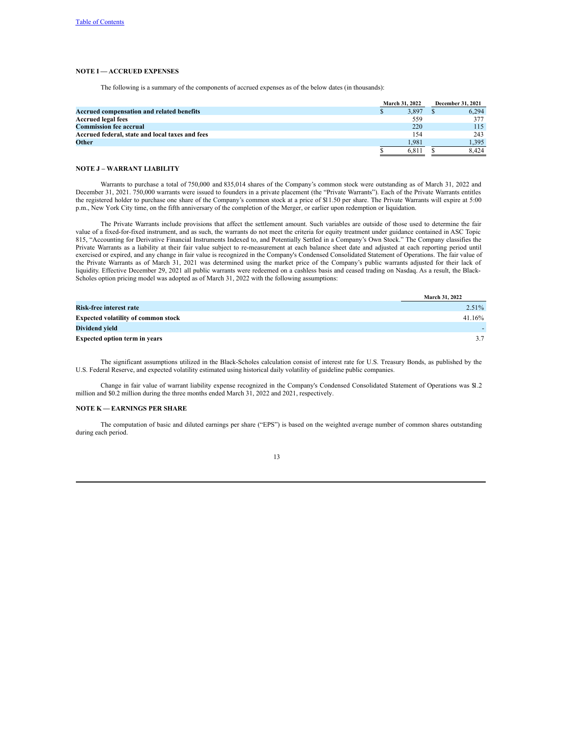# **NOTE I — ACCRUED EXPENSES**

The following is a summary of the components of accrued expenses as of the below dates (in thousands):

|                                                 | <b>March 31, 2022</b> |  | <b>December 31, 2021</b> |
|-------------------------------------------------|-----------------------|--|--------------------------|
| Accrued compensation and related benefits       | 3.897                 |  | 6.294                    |
| <b>Accrued legal fees</b>                       | 559                   |  | 377                      |
| <b>Commission fee accrual</b>                   | 220                   |  | 115                      |
| Accrued federal, state and local taxes and fees | 154                   |  | 243                      |
| <b>Other</b>                                    | 1.981                 |  | 1.395                    |
|                                                 | 6.811                 |  | 8.424                    |

## **NOTE J – WARRANT LIABILITY**

Warrants to purchase a total of 750,000 and 835,014 shares of the Company's common stock were outstanding as of March 31, 2022 and December 31, 2021. 750,000 warrants were issued to founders in a private placement (the "Private Warrants"). Each of the Private Warrants entitles the registered holder to purchase one share of the Company's common stock at a price of \$11.50 per share. The Private Warrants will expire at 5:00 p.m., New York City time, on the fifth anniversary of the completion of the Merger, or earlier upon redemption or liquidation.

The Private Warrants include provisions that affect the settlement amount. Such variables are outside of those used to determine the fair value of a fixed-for-fixed instrument, and as such, the warrants do not meet the criteria for equity treatment under guidance contained in ASC Topic 815, "Accounting for Derivative Financial Instruments Indexed to, and Potentially Settled in a Company's Own Stock." The Company classifies the Private Warrants as a liability at their fair value subject to re-measurement at each balance sheet date and adjusted at each reporting period until exercised or expired, and any change in fair value is recognized in the Company's Condensed Consolidated Statement of Operations. The fair value of the Private Warrants as of March 31, 2021 was determined using the market price of the Company's public warrants adjusted for their lack of liquidity. Effective December 29, 2021 all public warrants were redeemed on a cashless basis and ceased trading on Nasdaq. As a result, the Black-Scholes option pricing model was adopted as of March 31, 2022 with the following assumptions:

|                                            | March 31, 2022 |
|--------------------------------------------|----------------|
| Risk-free interest rate                    | $2.51\%$       |
| <b>Expected volatility of common stock</b> | 41.16%         |
| Dividend vield                             |                |
| <b>Expected option term in years</b>       |                |

The significant assumptions utilized in the Black-Scholes calculation consist of interest rate for U.S. Treasury Bonds, as published by the U.S. Federal Reserve, and expected volatility estimated using historical daily volatility of guideline public companies.

Change in fair value of warrant liability expense recognized in the Company's Condensed Consolidated Statement of Operations was \$1.2 million and \$0.2 million during the three months ended March 31, 2022 and 2021, respectively.

## **NOTE K — EARNINGS PER SHARE**

The computation of basic and diluted earnings per share ("EPS") is based on the weighted average number of common shares outstanding during each period.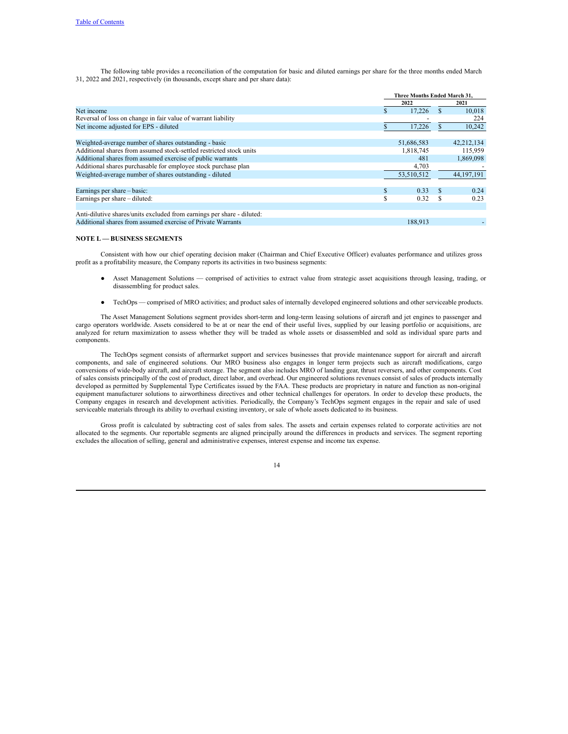The following table provides a reconciliation of the computation for basic and diluted earnings per share for the three months ended March 31, 2022 and 2021, respectively (in thousands, except share and per share data):

|                                                                        |   | Three Months Ended March 31, |   |              |  |
|------------------------------------------------------------------------|---|------------------------------|---|--------------|--|
|                                                                        |   | 2022                         |   | 2021         |  |
| Net income                                                             |   | 17.226                       |   | 10.018       |  |
| Reversal of loss on change in fair value of warrant liability          |   |                              |   | 224          |  |
| Net income adjusted for EPS - diluted                                  |   | 17,226                       |   | 10,242       |  |
| Weighted-average number of shares outstanding - basic                  |   | 51,686,583                   |   | 42,212,134   |  |
| Additional shares from assumed stock-settled restricted stock units    |   | 1,818,745                    |   | 115,959      |  |
| Additional shares from assumed exercise of public warrants             |   | 481                          |   | 1,869,098    |  |
| Additional shares purchasable for employee stock purchase plan         |   | 4,703                        |   |              |  |
| Weighted-average number of shares outstanding - diluted                |   | 53,510,512                   |   | 44, 197, 191 |  |
| Earnings per share – basic:                                            | S | 0.33                         |   | 0.24         |  |
| Earnings per share – diluted:                                          | S | 0.32                         | S | 0.23         |  |
| Anti-dilutive shares/units excluded from earnings per share - diluted: |   |                              |   |              |  |
| Additional shares from assumed exercise of Private Warrants            |   | 188.913                      |   |              |  |

### **NOTE L — BUSINESS SEGMENTS**

Consistent with how our chief operating decision maker (Chairman and Chief Executive Officer) evaluates performance and utilizes gross profit as a profitability measure, the Company reports its activities in two business segments:

- Asset Management Solutions comprised of activities to extract value from strategic asset acquisitions through leasing, trading, or disassembling for product sales.
- TechOps comprised of MRO activities; and product sales of internally developed engineered solutions and other serviceable products.

The Asset Management Solutions segment provides short-term and long-term leasing solutions of aircraft and jet engines to passenger and cargo operators worldwide. Assets considered to be at or near the end of their useful lives, supplied by our leasing portfolio or acquisitions, are analyzed for return maximization to assess whether they will be traded as whole assets or disassembled and sold as individual spare parts and components.

The TechOps segment consists of aftermarket support and services businesses that provide maintenance support for aircraft and aircraft components, and sale of engineered solutions. Our MRO business also engages in longer term projects such as aircraft modifications, cargo conversions of wide-body aircraft, and aircraft storage. The segment also includes MRO of landing gear, thrust reversers, and other components. Cost of sales consists principally of the cost of product, direct labor, and overhead. Our engineered solutions revenues consist of sales of products internally developed as permitted by Supplemental Type Certificates issued by the FAA. These products are proprietary in nature and function as non-original equipment manufacturer solutions to airworthiness directives and other technical challenges for operators. In order to develop these products, the Company engages in research and development activities. Periodically, the Company's TechOps segment engages in the repair and sale of used serviceable materials through its ability to overhaul existing inventory, or sale of whole assets dedicated to its business.

Gross profit is calculated by subtracting cost of sales from sales. The assets and certain expenses related to corporate activities are not allocated to the segments. Our reportable segments are aligned principally around the differences in products and services. The segment reporting excludes the allocation of selling, general and administrative expenses, interest expense and income tax expense.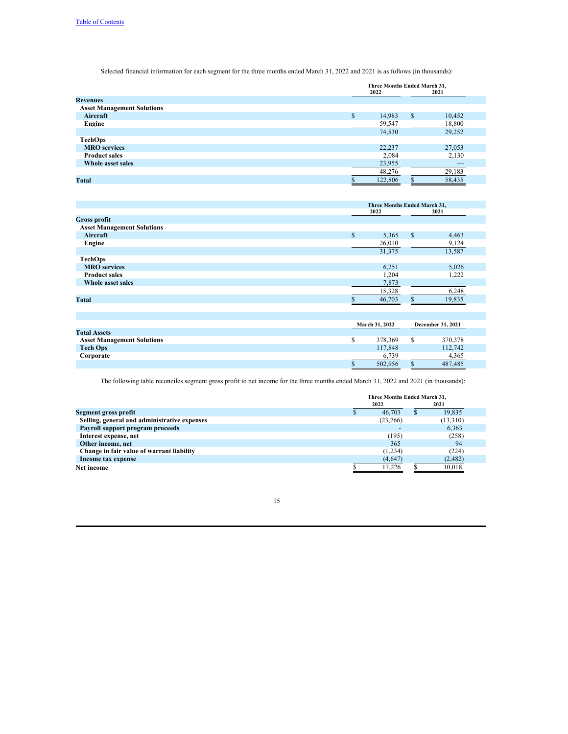Selected financial information for each segment for the three months ended March 31, 2022 and 2021 is as follows (in thousands):

|                                   | Three Months Ended March 31,<br>2022<br>2021 |    |        |  |
|-----------------------------------|----------------------------------------------|----|--------|--|
| <b>Revenues</b>                   |                                              |    |        |  |
| <b>Asset Management Solutions</b> |                                              |    |        |  |
| Aircraft                          | \$<br>14,983                                 | \$ | 10,452 |  |
| Engine                            | 59,547                                       |    | 18,800 |  |
|                                   | 74,530                                       |    | 29,252 |  |
| <b>TechOps</b>                    |                                              |    |        |  |
| <b>MRO</b> services               | 22,237                                       |    | 27,053 |  |
| <b>Product sales</b>              | 2,084                                        |    | 2,130  |  |
| Whole asset sales                 | 23,955                                       |    |        |  |
|                                   | 48,276                                       |    | 29,183 |  |
| <b>Total</b>                      | 122,806                                      |    | 58,435 |  |

|                                   | Three Months Ended March 31, |         |               |                   |  |
|-----------------------------------|------------------------------|---------|---------------|-------------------|--|
|                                   |                              | 2022    | 2021          |                   |  |
| <b>Gross profit</b>               |                              |         |               |                   |  |
| <b>Asset Management Solutions</b> |                              |         |               |                   |  |
| Aircraft                          | \$                           | 5,365   | <sup>\$</sup> | 4,463             |  |
| Engine                            |                              | 26,010  |               | 9,124             |  |
|                                   |                              | 31,375  |               | 13,587            |  |
| <b>TechOps</b>                    |                              |         |               |                   |  |
| <b>MRO</b> services               |                              | 6,251   |               | 5,026             |  |
| <b>Product sales</b>              |                              | 1,204   |               | 1,222             |  |
| Whole asset sales                 |                              | 7,873   |               |                   |  |
|                                   |                              | 15,328  |               | 6,248             |  |
| <b>Total</b>                      |                              | 46,703  | $\mathbf{s}$  | 19,835            |  |
|                                   |                              |         |               |                   |  |
|                                   |                              |         |               |                   |  |
|                                   | March 31, 2022               |         |               | December 31, 2021 |  |
| <b>Total Assets</b>               |                              |         |               |                   |  |
| <b>Asset Management Solutions</b> | \$                           | 378,369 | <sup>\$</sup> | 370,378           |  |
| <b>Tech Ops</b>                   |                              | 117,848 |               | 112,742           |  |
| Corporate                         |                              | 6,739   |               | 4,365             |  |
|                                   | \$                           | 502,956 | $\mathbf S$   | 487,485           |  |

The following table reconciles segment gross profit to net income for the three months ended March 31, 2022 and 2021 (in thousands):

|                                              | Three Months Ended March 31. |      |          |  |
|----------------------------------------------|------------------------------|------|----------|--|
|                                              | 2022                         | 2021 |          |  |
| Segment gross profit                         | 46,703                       |      | 19.835   |  |
| Selling, general and administrative expenses | (23,766)                     |      | (13,310) |  |
| Payroll support program proceeds             |                              |      | 6.363    |  |
| Interest expense, net                        | (195)                        |      | (258)    |  |
| Other income, net                            | 365                          |      | 94       |  |
| Change in fair value of warrant liability    | (1,234)                      |      | (224)    |  |
| Income tax expense                           | (4,647)                      |      | (2,482)  |  |
| Net income                                   | 17.226                       |      | 10,018   |  |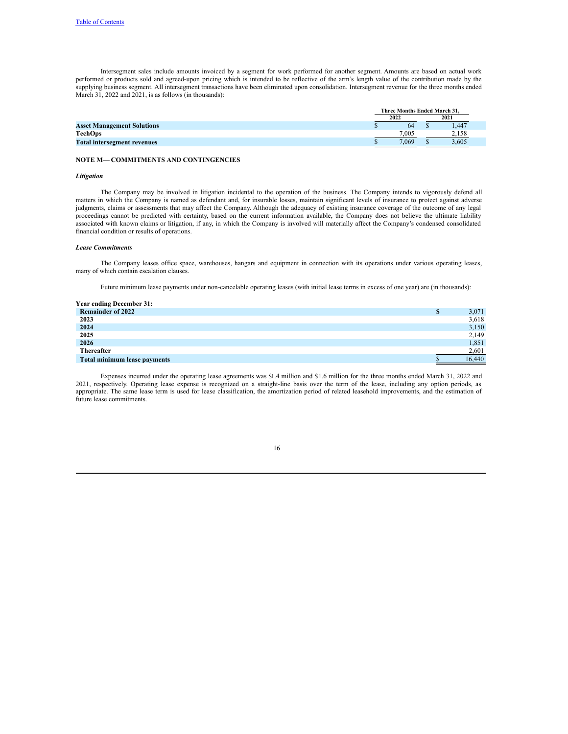Intersegment sales include amounts invoiced by a segment for work performed for another segment. Amounts are based on actual work performed or products sold and agreed-upon pricing which is intended to be reflective of the arm's length value of the contribution made by the supplying business segment. All intersegment transactions have been eliminated upon consolidation. Intersegment revenue for the three months ended March 31, 2022 and 2021, is as follows (in thousands):

|                                    | Three Months Ended March 31. |       |  |       |  |
|------------------------------------|------------------------------|-------|--|-------|--|
|                                    | 2022                         |       |  | 2021  |  |
| <b>Asset Management Solutions</b>  |                              | 64    |  | 1.447 |  |
| <b>TechOps</b>                     |                              | 7.005 |  | 2.158 |  |
| <b>Total intersegment revenues</b> |                              | 7.069 |  | 3,605 |  |

## **NOTE M— COMMITMENTS AND CONTINGENCIES**

#### *Litigation*

The Company may be involved in litigation incidental to the operation of the business. The Company intends to vigorously defend all matters in which the Company is named as defendant and, for insurable losses, maintain significant levels of insurance to protect against adverse judgments, claims or assessments that may affect the Company. Although the adequacy of existing insurance coverage of the outcome of any legal proceedings cannot be predicted with certainty, based on the current information available, the Company does not believe the ultimate liability associated with known claims or litigation, if any, in which the Company is involved will materially affect the Company's condensed consolidated financial condition or results of operations.

#### *Lease Commitments*

The Company leases office space, warehouses, hangars and equipment in connection with its operations under various operating leases, many of which contain escalation clauses.

Future minimum lease payments under non-cancelable operating leases (with initial lease terms in excess of one year) are (in thousands):

| <b>Year ending December 31:</b> |   |        |
|---------------------------------|---|--------|
| <b>Remainder of 2022</b>        | S | 3,071  |
| 2023                            |   | 3,618  |
| 2024                            |   | 3,150  |
| 2025                            |   | 2,149  |
| 2026                            |   | 1,851  |
| Thereafter                      |   | 2,601  |
| Total minimum lease payments    |   | 16,440 |

Expenses incurred under the operating lease agreements was \$1.4 million and \$1.6 million for the three months ended March 31, 2022 and 2021, respectively. Operating lease expense is recognized on a straight-line basis over the term of the lease, including any option periods, as appropriate. The same lease term is used for lease classification, the amortization period of related leasehold improvements, and the estimation of future lease commitments.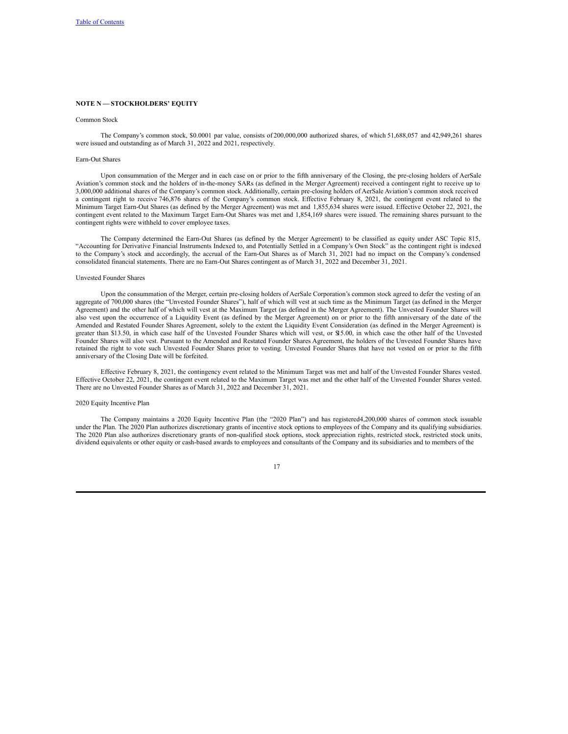## **NOTE N — STOCKHOLDERS' EQUITY**

#### Common Stock

The Company's common stock, \$0.0001 par value, consists of 200,000,000 authorized shares, of which 51,688,057 and 42,949,261 shares were issued and outstanding as of March 31, 2022 and 2021, respectively.

## Earn-Out Shares

Upon consummation of the Merger and in each case on or prior to the fifth anniversary of the Closing, the pre-closing holders of AerSale Aviation's common stock and the holders of in-the-money SARs (as defined in the Merger Agreement) received a contingent right to receive up to 3,000,000 additional shares of the Company's common stock. Additionally, certain pre-closing holders of AerSale Aviation's common stock received a contingent right to receive 746,876 shares of the Company's common stock. Effective February 8, 2021, the contingent event related to the Minimum Target Earn-Out Shares (as defined by the Merger Agreement) was met and 1,855,634 shares were issued. Effective October 22, 2021, the contingent event related to the Maximum Target Earn-Out Shares was met and 1,854,169 shares were issued. The remaining shares pursuant to the contingent rights were withheld to cover employee taxes.

The Company determined the Earn-Out Shares (as defined by the Merger Agreement) to be classified as equity under ASC Topic 815, "Accounting for Derivative Financial Instruments Indexed to, and Potentially Settled in a Company's Own Stock" as the contingent right is indexed to the Company's stock and accordingly, the accrual of the Earn-Out Shares as of March 31, 2021 had no impact on the Company's condensed consolidated financial statements. There are no Earn-Out Shares contingent as of March 31, 2022 and December 31, 2021.

#### Unvested Founder Shares

Upon the consummation of the Merger, certain pre-closing holders of AerSale Corporation's common stock agreed to defer the vesting of an aggregate of 700,000 shares (the "Unvested Founder Shares"), half of which will vest at such time as the Minimum Target (as defined in the Merger Agreement) and the other half of which will vest at the Maximum Target (as defined in the Merger Agreement). The Unvested Founder Shares will also vest upon the occurrence of a Liquidity Event (as defined by the Merger Agreement) on or prior to the fifth anniversary of the date of the Amended and Restated Founder Shares Agreement, solely to the extent the Liquidity Event Consideration (as defined in the Merger Agreement) is greater than \$13.50, in which case half of the Unvested Founder Shares which will vest, or \$15.00, in which case the other half of the Unvested Founder Shares will also vest. Pursuant to the Amended and Restated Founder Shares Agreement, the holders of the Unvested Founder Shares have retained the right to vote such Unvested Founder Shares prior to vesting. Unvested Founder Shares that have not vested on or prior to the fifth anniversary of the Closing Date will be forfeited.

Effective February 8, 2021, the contingency event related to the Minimum Target was met and half of the Unvested Founder Shares vested. Effective October 22, 2021, the contingent event related to the Maximum Target was met and the other half of the Unvested Founder Shares vested. There are no Unvested Founder Shares as of March 31, 2022 and December 31, 2021.

#### 2020 Equity Incentive Plan

The Company maintains a 2020 Equity Incentive Plan (the "2020 Plan") and has registered4,200,000 shares of common stock issuable under the Plan. The 2020 Plan authorizes discretionary grants of incentive stock options to employees of the Company and its qualifying subsidiaries. The 2020 Plan also authorizes discretionary grants of non-qualified stock options, stock appreciation rights, restricted stock, restricted stock units, dividend equivalents or other equity or cash-based awards to employees and consultants of the Company and its subsidiaries and to members of the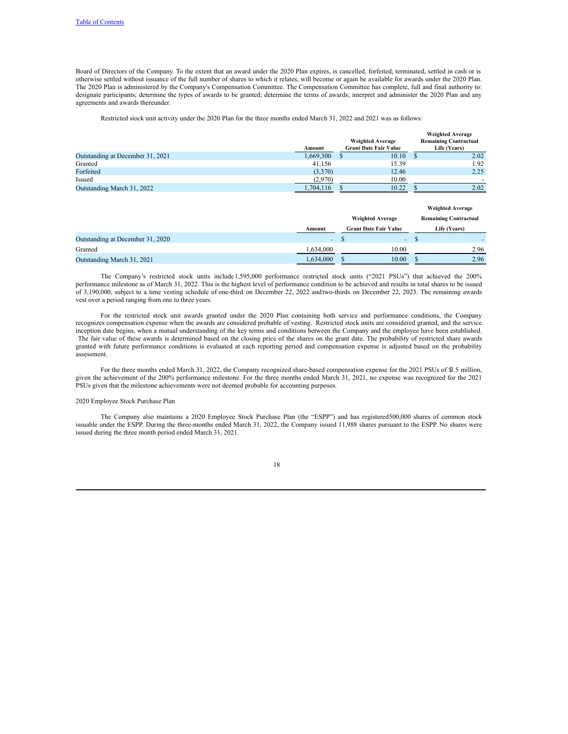Board of Directors of the Company. To the extent that an award under the 2020 Plan expires, is cancelled, forfeited, terminated, settled in cash or is otherwise settled without issuance of the full number of shares to which it relates, will become or again be available for awards under the 2020 Plan. The 2020 Plan is administered by the Company's Compensation Committee. The Compensation Committee has complete, full and final authority to: designate participants; determine the types of awards to be granted; determine the terms of awards; interpret and administer the 2020 Plan and any agreements and awards thereunder.

## Restricted stock unit activity under the 2020 Plan for the three months ended March 31, 2022 and 2021 was as follows:

|                                  |           |                              | <b>Weighted Average</b>      |
|----------------------------------|-----------|------------------------------|------------------------------|
|                                  |           | <b>Weighted Average</b>      | <b>Remaining Contractual</b> |
|                                  | Amount    | <b>Grant Date Fair Value</b> | Life (Years)                 |
| Outstanding at December 31, 2021 | 1.669.300 | 10.10                        | 2.02                         |
| Granted                          | 41.156    | 15.39                        | l.92                         |
| Forfeited                        | (3,370)   | 12.46                        | 2.25                         |
| Issued                           | (2,970)   | 10.00                        |                              |
| Outstanding March 31, 2022       | 1.704.116 | 10.22                        | 2.02                         |

|                                  |           |                              | <b>Weighted Average</b>      |
|----------------------------------|-----------|------------------------------|------------------------------|
|                                  |           | <b>Weighted Average</b>      | <b>Remaining Contractual</b> |
|                                  | Amount    | <b>Grant Date Fair Value</b> | Life (Years)                 |
| Outstanding at December 31, 2020 | $\sim 10$ | $\sim$ .                     |                              |
| Granted                          | 1,634,000 | 10.00                        | 2.96                         |
| Outstanding March 31, 2021       | 1,634,000 | 10.00                        | 2.96                         |

The Company's restricted stock units include 1,595,000 performance restricted stock units ("2021 PSUs") that achieved the 200% performance milestone as of March 31, 2022. This is the highest level of performance condition to be achieved and results in total shares to be issued of 3,190,000, subject to a time vesting schedule of one-third on December 22, 2022 andtwo-thirds on December 22, 2023. The remaining awards vest over a period ranging from one to three years.

For the restricted stock unit awards granted under the 2020 Plan containing both service and performance conditions, the Company recognizes compensation expense when the awards are considered probable of vesting. Restricted stock units are considered granted, and the service inception date begins, when a mutual understanding of the key terms and conditions between the Company and the employee have been established. The fair value of these awards is determined based on the closing price of the shares on the grant date. The probability of restricted share awards granted with future performance conditions is evaluated at each reporting period and compensation expense is adjusted based on the probability assessment.

For the three months ended March 31, 2022, the Company recognized share-based compensation expense for the 2021 PSUs of \$3.5 million, given the achievement of the 200% performance milestone. For the three months ended March 31, 2021, no expense was recognized for the 2021 PSUs given that the milestone achievements were not deemed probable for accounting purposes.

#### 2020 Employee Stock Purchase Plan

The Company also maintains a 2020 Employee Stock Purchase Plan (the "ESPP") and has registered500,000 shares of common stock issuable under the ESPP. During the three-months ended March 31, 2022, the Company issued 11,988 shares pursuant to the ESPP. No shares were issued during the three month period ended March 31, 2021.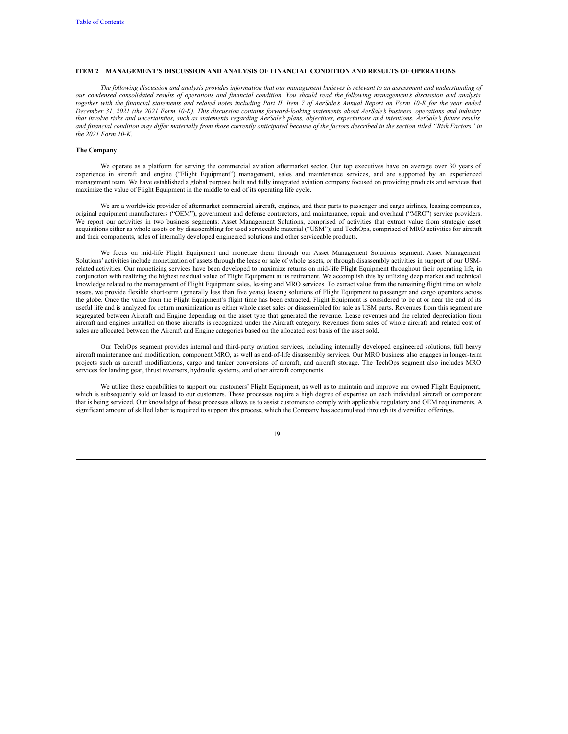## **ITEM 2 MANAGEMENT'S DISCUSSION AND ANALYSIS OF FINANCIAL CONDITION AND RESULTS OF OPERATIONS**

The following discussion and analysis provides information that our management believes is relevant to an assessment and understanding of our condensed consolidated results of operations and financial condition. You should read the following management's discussion and analysis together with the financial statements and related notes including Part II, Item 7 of AerSale's Annual Report on Form 10-K for the year ended December 31, 2021 (the 2021 Form 10-K). This discussion contains forward-looking statements about AerSale's business, operations and industry that involve risks and uncertainties, such as statements regarding AerSale's plans, objectives, expectations and intentions. AerSale's future results and financial condition may differ materially from those currently anticipated because of the factors described in the section titled "Risk Factors" in *the 2021 Form 10-K.*

### **The Company**

We operate as a platform for serving the commercial aviation aftermarket sector. Our top executives have on average over 30 years of experience in aircraft and engine ("Flight Equipment") management, sales and maintenance services, and are supported by an experienced management team. We have established a global purpose built and fully integrated aviation company focused on providing products and services that maximize the value of Flight Equipment in the middle to end of its operating life cycle.

We are a worldwide provider of aftermarket commercial aircraft, engines, and their parts to passenger and cargo airlines, leasing companies, original equipment manufacturers ("OEM"), government and defense contractors, and maintenance, repair and overhaul ("MRO") service providers. We report our activities in two business segments: Asset Management Solutions, comprised of activities that extract value from strategic asset acquisitions either as whole assets or by disassembling for used serviceable material ("USM"); and TechOps, comprised of MRO activities for aircraft and their components, sales of internally developed engineered solutions and other serviceable products.

We focus on mid-life Flight Equipment and monetize them through our Asset Management Solutions segment. Asset Management Solutions' activities include monetization of assets through the lease or sale of whole assets, or through disassembly activities in support of our USMrelated activities. Our monetizing services have been developed to maximize returns on mid-life Flight Equipment throughout their operating life, in conjunction with realizing the highest residual value of Flight Equipment at its retirement. We accomplish this by utilizing deep market and technical knowledge related to the management of Flight Equipment sales, leasing and MRO services. To extract value from the remaining flight time on whole assets, we provide flexible short-term (generally less than five years) leasing solutions of Flight Equipment to passenger and cargo operators across the globe. Once the value from the Flight Equipment's flight time has been extracted, Flight Equipment is considered to be at or near the end of its useful life and is analyzed for return maximization as either whole asset sales or disassembled for sale as USM parts. Revenues from this segment are segregated between Aircraft and Engine depending on the asset type that generated the revenue. Lease revenues and the related depreciation from aircraft and engines installed on those aircrafts is recognized under the Aircraft category. Revenues from sales of whole aircraft and related cost of sales are allocated between the Aircraft and Engine categories based on the allocated cost basis of the asset sold.

Our TechOps segment provides internal and third-party aviation services, including internally developed engineered solutions, full heavy aircraft maintenance and modification, component MRO, as well as end-of-life disassembly services. Our MRO business also engages in longer-term projects such as aircraft modifications, cargo and tanker conversions of aircraft, and aircraft storage. The TechOps segment also includes MRO services for landing gear, thrust reversers, hydraulic systems, and other aircraft components.

We utilize these capabilities to support our customers' Flight Equipment, as well as to maintain and improve our owned Flight Equipment, which is subsequently sold or leased to our customers. These processes require a high degree of expertise on each individual aircraft or component that is being serviced. Our knowledge of these processes allows us to assist customers to comply with applicable regulatory and OEM requirements. A significant amount of skilled labor is required to support this process, which the Company has accumulated through its diversified offerings.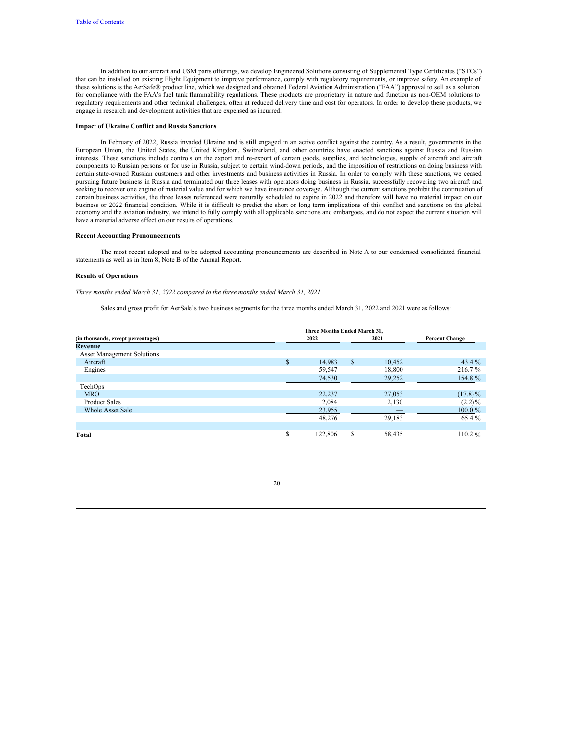In addition to our aircraft and USM parts offerings, we develop Engineered Solutions consisting of Supplemental Type Certificates ("STCs") that can be installed on existing Flight Equipment to improve performance, comply with regulatory requirements, or improve safety. An example of these solutions is the AerSafe® product line, which we designed and obtained Federal Aviation Administration ("FAA") approval to sell as a solution for compliance with the FAA's fuel tank flammability regulations. These products are proprietary in nature and function as non-OEM solutions to regulatory requirements and other technical challenges, often at reduced delivery time and cost for operators. In order to develop these products, we engage in research and development activities that are expensed as incurred.

#### **Impact of Ukraine Conflict and Russia Sanctions**

In February of 2022, Russia invaded Ukraine and is still engaged in an active conflict against the country. As a result, governments in the European Union, the United States, the United Kingdom, Switzerland, and other countries have enacted sanctions against Russia and Russian interests. These sanctions include controls on the export and re-export of certain goods, supplies, and technologies, supply of aircraft and aircraft components to Russian persons or for use in Russia, subject to certain wind-down periods, and the imposition of restrictions on doing business with certain state-owned Russian customers and other investments and business activities in Russia. In order to comply with these sanctions, we ceased pursuing future business in Russia and terminated our three leases with operators doing business in Russia, successfully recovering two aircraft and seeking to recover one engine of material value and for which we have insurance coverage. Although the current sanctions prohibit the continuation of certain business activities, the three leases referenced were naturally scheduled to expire in 2022 and therefore will have no material impact on our business or 2022 financial condition. While it is difficult to predict the short or long term implications of this conflict and sanctions on the global economy and the aviation industry, we intend to fully comply with all applicable sanctions and embargoes, and do not expect the current situation will have a material adverse effect on our results of operations.

#### **Recent Accounting Pronouncements**

The most recent adopted and to be adopted accounting pronouncements are described in Note A to our condensed consolidated financial statements as well as in Item 8, Note B of the Annual Report.

### **Results of Operations**

*Three months ended March 31, 2022 compared to the three months ended March 31, 2021*

Sales and gross profit for AerSale's two business segments for the three months ended March 31, 2022 and 2021 were as follows:

|                                    | Three Months Ended March 31. |         |   |        |                       |
|------------------------------------|------------------------------|---------|---|--------|-----------------------|
| (in thousands, except percentages) |                              | 2022    |   | 2021   | <b>Percent Change</b> |
| <b>Revenue</b>                     |                              |         |   |        |                       |
| <b>Asset Management Solutions</b>  |                              |         |   |        |                       |
| Aircraft                           | \$                           | 14,983  | S | 10,452 | 43.4 $%$              |
| Engines                            |                              | 59,547  |   | 18,800 | 216.7 %               |
|                                    |                              | 74,530  |   | 29,252 | 154.8 %               |
| TechOps                            |                              |         |   |        |                       |
| <b>MRO</b>                         |                              | 22,237  |   | 27,053 | $(17.8)\%$            |
| <b>Product Sales</b>               |                              | 2,084   |   | 2,130  | $(2.2)\%$             |
| <b>Whole Asset Sale</b>            |                              | 23,955  |   |        | $100.0 \%$            |
|                                    |                              | 48,276  |   | 29,183 | 65.4 %                |
|                                    |                              |         |   |        |                       |
| Total                              |                              | 122,806 |   | 58,435 | 110.2 $%$             |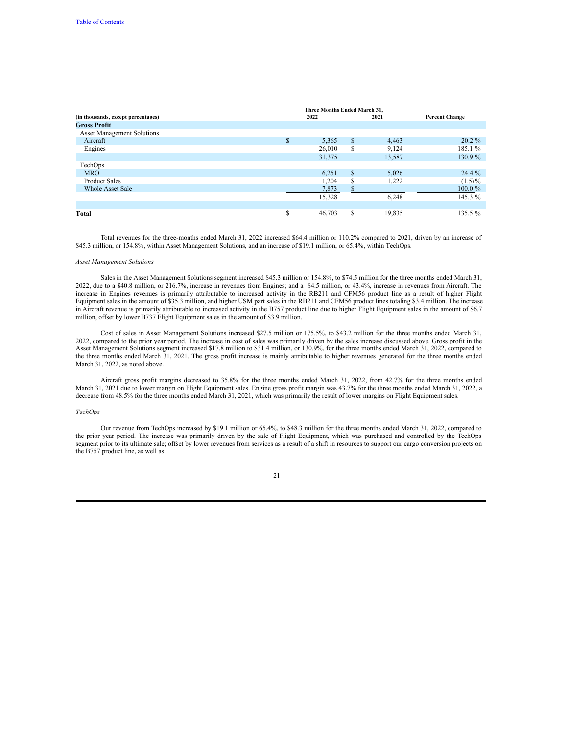|                                    | Three Months Ended March 31, |        |          |        |                       |
|------------------------------------|------------------------------|--------|----------|--------|-----------------------|
| (in thousands, except percentages) |                              | 2022   |          | 2021   | <b>Percent Change</b> |
| <b>Gross Profit</b>                |                              |        |          |        |                       |
| <b>Asset Management Solutions</b>  |                              |        |          |        |                       |
| Aircraft                           | $\mathbb{S}$                 | 5.365  | S        | 4,463  | $20.2 \%$             |
| Engines                            |                              | 26,010 | S        | 9,124  | 185.1 %               |
|                                    |                              | 31,375 |          | 13,587 | 130.9 %               |
| TechOps                            |                              |        |          |        |                       |
| <b>MRO</b>                         |                              | 6,251  | S        | 5,026  | $24.4\%$              |
| <b>Product Sales</b>               |                              | 1,204  | <b>S</b> | 1,222  | $(1.5)\%$             |
| <b>Whole Asset Sale</b>            |                              | 7,873  | \$.      |        | $100.0 \%$            |
|                                    |                              | 15,328 |          | 6,248  | 145.3 %               |
|                                    |                              |        |          |        |                       |
| Total                              |                              | 46,703 | S        | 19,835 | 135.5 $%$             |

Total revenues for the three-months ended March 31, 2022 increased \$64.4 million or 110.2% compared to 2021, driven by an increase of \$45.3 million, or 154.8%, within Asset Management Solutions, and an increase of \$19.1 million, or 65.4%, within TechOps.

#### *Asset Management Solutions*

Sales in the Asset Management Solutions segment increased \$45.3 million or 154.8%, to \$74.5 million for the three months ended March 31, 2022, due to a \$40.8 million, or 216.7%, increase in revenues from Engines; and a \$4.5 million, or 43.4%, increase in revenues from Aircraft. The increase in Engines revenues is primarily attributable to increased activity in the RB211 and CFM56 product line as a result of higher Flight Equipment sales in the amount of \$35.3 million, and higher USM part sales in the RB211 and CFM56 product lines totaling \$3.4 million. The increase in Aircraft revenue is primarily attributable to increased activity in the B757 product line due to higher Flight Equipment sales in the amount of \$6.7 million, offset by lower B737 Flight Equipment sales in the amount of \$3.9 million.

Cost of sales in Asset Management Solutions increased \$27.5 million or 175.5%, to \$43.2 million for the three months ended March 31, 2022, compared to the prior year period. The increase in cost of sales was primarily driven by the sales increase discussed above. Gross profit in the Asset Management Solutions segment increased \$17.8 million to \$31.4 million, or 130.9%, for the three months ended March 31, 2022, compared to the three months ended March 31, 2021. The gross profit increase is mainly attributable to higher revenues generated for the three months ended March 31, 2022, as noted above.

Aircraft gross profit margins decreased to 35.8% for the three months ended March 31, 2022, from 42.7% for the three months ended March 31, 2021 due to lower margin on Flight Equipment sales. Engine gross profit margin was 43.7% for the three months ended March 31, 2022, a decrease from 48.5% for the three months ended March 31, 2021, which was primarily the result of lower margins on Flight Equipment sales.

## *TechOps*

Our revenue from TechOps increased by \$19.1 million or 65.4%, to \$48.3 million for the three months ended March 31, 2022, compared to the prior year period. The increase was primarily driven by the sale of Flight Equipment, which was purchased and controlled by the TechOps segment prior to its ultimate sale; offset by lower revenues from services as a result of a shift in resources to support our cargo conversion projects on the B757 product line, as well as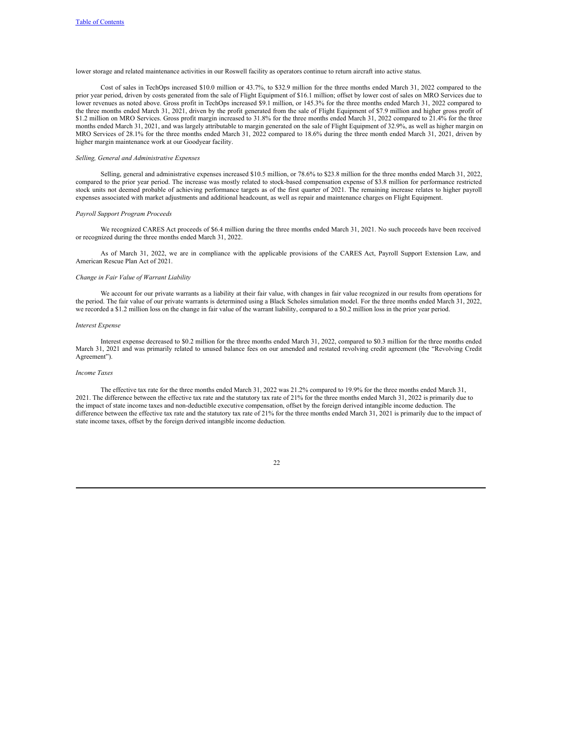lower storage and related maintenance activities in our Roswell facility as operators continue to return aircraft into active status.

Cost of sales in TechOps increased \$10.0 million or 43.7%, to \$32.9 million for the three months ended March 31, 2022 compared to the prior year period, driven by costs generated from the sale of Flight Equipment of \$16.1 million; offset by lower cost of sales on MRO Services due to lower revenues as noted above. Gross profit in TechOps increased \$9.1 million, or 145.3% for the three months ended March 31, 2022 compared to the three months ended March 31, 2021, driven by the profit generated from the sale of Flight Equipment of \$7.9 million and higher gross profit of \$1.2 million on MRO Services. Gross profit margin increased to 31.8% for the three months ended March 31, 2022 compared to 21.4% for the three months ended March 31, 2021, and was largely attributable to margin generated on the sale of Flight Equipment of 32.9%, as well as higher margin on MRO Services of 28.1% for the three months ended March 31, 2022 compared to 18.6% during the three month ended March 31, 2021, driven by higher margin maintenance work at our Goodyear facility.

#### *Selling, General and Administrative Expenses*

Selling, general and administrative expenses increased \$10.5 million, or 78.6% to \$23.8 million for the three months ended March 31, 2022, compared to the prior year period. The increase was mostly related to stock-based compensation expense of \$3.8 million for performance restricted stock units not deemed probable of achieving performance targets as of the first quarter of 2021. The remaining increase relates to higher payroll expenses associated with market adjustments and additional headcount, as well as repair and maintenance charges on Flight Equipment.

#### *Payroll Support Program Proceeds*

We recognized CARES Act proceeds of \$6.4 million during the three months ended March 31, 2021. No such proceeds have been received or recognized during the three months ended March 31, 2022.

As of March 31, 2022, we are in compliance with the applicable provisions of the CARES Act, Payroll Support Extension Law, and American Rescue Plan Act of 2021.

#### *Change in Fair Value of Warrant Liability*

We account for our private warrants as a liability at their fair value, with changes in fair value recognized in our results from operations for the period. The fair value of our private warrants is determined using a Black Scholes simulation model. For the three months ended March 31, 2022, we recorded a \$1.2 million loss on the change in fair value of the warrant liability, compared to a \$0.2 million loss in the prior year period.

#### *Interest Expense*

Interest expense decreased to \$0.2 million for the three months ended March 31, 2022, compared to \$0.3 million for the three months ended March 31, 2021 and was primarily related to unused balance fees on our amended and restated revolving credit agreement (the "Revolving Credit Agreement").

#### *Income Taxes*

The effective tax rate for the three months ended March 31, 2022 was 21.2% compared to 19.9% for the three months ended March 31, 2021. The difference between the effective tax rate and the statutory tax rate of 21% for the three months ended March 31, 2022 is primarily due to the impact of state income taxes and non-deductible executive compensation, offset by the foreign derived intangible income deduction. The difference between the effective tax rate and the statutory tax rate of 21% for the three months ended March 31, 2021 is primarily due to the impact of state income taxes, offset by the foreign derived intangible income deduction.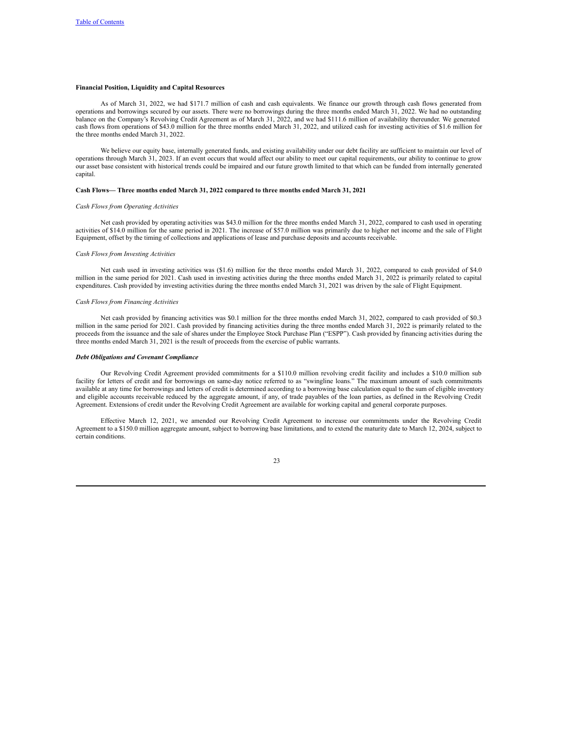### **Financial Position, Liquidity and Capital Resources**

As of March 31, 2022, we had \$171.7 million of cash and cash equivalents. We finance our growth through cash flows generated from operations and borrowings secured by our assets. There were no borrowings during the three months ended March 31, 2022. We had no outstanding balance on the Company's Revolving Credit Agreement as of March 31, 2022, and we had \$111.6 million of availability thereunder. We generated cash flows from operations of \$43.0 million for the three months ended March 31, 2022, and utilized cash for investing activities of \$1.6 million for the three months ended March 31, 2022.

We believe our equity base, internally generated funds, and existing availability under our debt facility are sufficient to maintain our level of operations through March 31, 2023. If an event occurs that would affect our ability to meet our capital requirements, our ability to continue to grow our asset base consistent with historical trends could be impaired and our future growth limited to that which can be funded from internally generated capital.

#### **Cash Flows— Three months ended March 31, 2022 compared to three months ended March 31, 2021**

#### *Cash Flows from Operating Activities*

Net cash provided by operating activities was \$43.0 million for the three months ended March 31, 2022, compared to cash used in operating activities of \$14.0 million for the same period in 2021. The increase of \$57.0 million was primarily due to higher net income and the sale of Flight Equipment, offset by the timing of collections and applications of lease and purchase deposits and accounts receivable.

#### *Cash Flows from Investing Activities*

Net cash used in investing activities was (\$1.6) million for the three months ended March 31, 2022, compared to cash provided of \$4.0 million in the same period for 2021. Cash used in investing activities during the three months ended March 31, 2022 is primarily related to capital expenditures. Cash provided by investing activities during the three months ended March 31, 2021 was driven by the sale of Flight Equipment.

#### *Cash Flows from Financing Activities*

Net cash provided by financing activities was \$0.1 million for the three months ended March 31, 2022, compared to cash provided of \$0.3 million in the same period for 2021. Cash provided by financing activities during the three months ended March 31, 2022 is primarily related to the proceeds from the issuance and the sale of shares under the Employee Stock Purchase Plan ("ESPP"). Cash provided by financing activities during the three months ended March 31, 2021 is the result of proceeds from the exercise of public warrants.

## *Debt Obligations and Covenant Compliance*

Our Revolving Credit Agreement provided commitments for a \$110.0 million revolving credit facility and includes a \$10.0 million sub facility for letters of credit and for borrowings on same-day notice referred to as "swingline loans." The maximum amount of such commitments available at any time for borrowings and letters of credit is determined according to a borrowing base calculation equal to the sum of eligible inventory and eligible accounts receivable reduced by the aggregate amount, if any, of trade payables of the loan parties, as defined in the Revolving Credit Agreement. Extensions of credit under the Revolving Credit Agreement are available for working capital and general corporate purposes.

Effective March 12, 2021, we amended our Revolving Credit Agreement to increase our commitments under the Revolving Credit Agreement to a \$150.0 million aggregate amount, subject to borrowing base limitations, and to extend the maturity date to March 12, 2024, subject to certain conditions.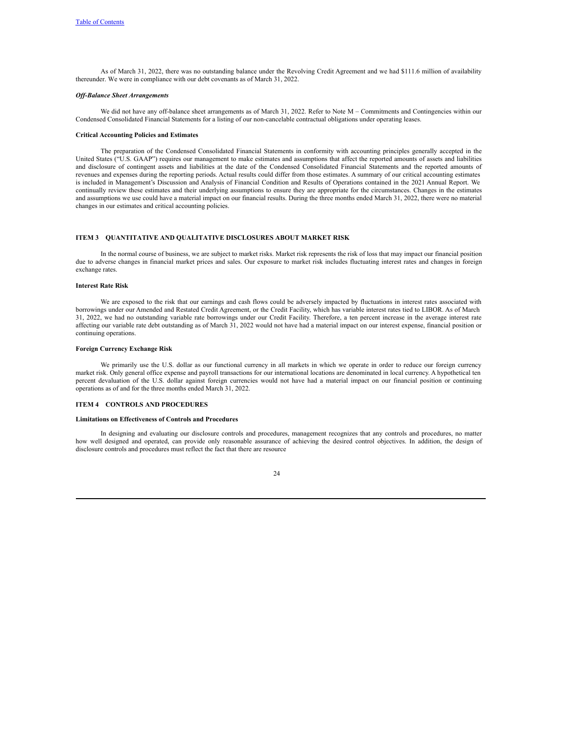As of March 31, 2022, there was no outstanding balance under the Revolving Credit Agreement and we had \$111.6 million of availability thereunder. We were in compliance with our debt covenants as of March 31, 2022.

#### *Of -Balance Sheet Arrangements*

We did not have any off-balance sheet arrangements as of March 31, 2022. Refer to Note M – Commitments and Contingencies within our Condensed Consolidated Financial Statements for a listing of our non-cancelable contractual obligations under operating leases.

#### **Critical Accounting Policies and Estimates**

The preparation of the Condensed Consolidated Financial Statements in conformity with accounting principles generally accepted in the United States ("U.S. GAAP") requires our management to make estimates and assumptions that affect the reported amounts of assets and liabilities and disclosure of contingent assets and liabilities at the date of the Condensed Consolidated Financial Statements and the reported amounts of revenues and expenses during the reporting periods. Actual results could differ from those estimates. A summary of our critical accounting estimates is included in Management's Discussion and Analysis of Financial Condition and Results of Operations contained in the 2021 Annual Report. We continually review these estimates and their underlying assumptions to ensure they are appropriate for the circumstances. Changes in the estimates and assumptions we use could have a material impact on our financial results. During the three months ended March 31, 2022, there were no material changes in our estimates and critical accounting policies.

## **ITEM 3 QUANTITATIVE AND QUALITATIVE DISCLOSURES ABOUT MARKET RISK**

In the normal course of business, we are subject to market risks. Market risk represents the risk of loss that may impact our financial position due to adverse changes in financial market prices and sales. Our exposure to market risk includes fluctuating interest rates and changes in foreign exchange rates.

#### **Interest Rate Risk**

We are exposed to the risk that our earnings and cash flows could be adversely impacted by fluctuations in interest rates associated with borrowings under our Amended and Restated Credit Agreement, or the Credit Facility, which has variable interest rates tied to LIBOR. As of March 31, 2022, we had no outstanding variable rate borrowings under our Credit Facility. Therefore, a ten percent increase in the average interest rate affecting our variable rate debt outstanding as of March 31, 2022 would not have had a material impact on our interest expense, financial position or continuing operations.

#### **Foreign Currency Exchange Risk**

We primarily use the U.S. dollar as our functional currency in all markets in which we operate in order to reduce our foreign currency market risk. Only general office expense and payroll transactions for our international locations are denominated in local currency. A hypothetical ten percent devaluation of the U.S. dollar against foreign currencies would not have had a material impact on our financial position or continuing operations as of and for the three months ended March 31, 2022.

#### **ITEM 4 CONTROLS AND PROCEDURES**

## **Limitations on Effectiveness of Controls and Procedures**

In designing and evaluating our disclosure controls and procedures, management recognizes that any controls and procedures, no matter how well designed and operated, can provide only reasonable assurance of achieving the desired control objectives. In addition, the design of disclosure controls and procedures must reflect the fact that there are resource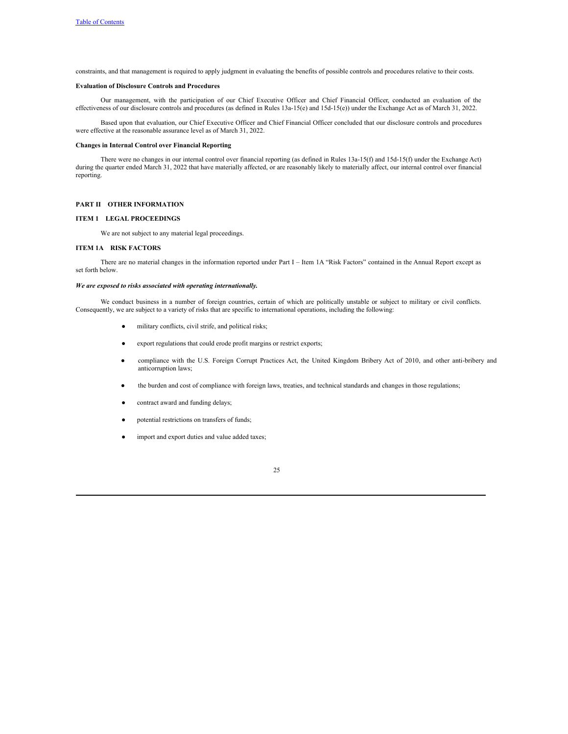constraints, and that management is required to apply judgment in evaluating the benefits of possible controls and procedures relative to their costs.

## **Evaluation of Disclosure Controls and Procedures**

Our management, with the participation of our Chief Executive Officer and Chief Financial Officer, conducted an evaluation of the effectiveness of our disclosure controls and procedures (as defined in Rules 13a-15(e) and 15d-15(e)) under the Exchange Act as of March 31, 2022.

Based upon that evaluation, our Chief Executive Officer and Chief Financial Officer concluded that our disclosure controls and procedures were effective at the reasonable assurance level as of March 31, 2022.

#### **Changes in Internal Control over Financial Reporting**

There were no changes in our internal control over financial reporting (as defined in Rules 13a-15(f) and 15d-15(f) under the Exchange Act) during the quarter ended March 31, 2022 that have materially affected, or are reasonably likely to materially affect, our internal control over financial reporting.

## **PART II OTHER INFORMATION**

## **ITEM 1 LEGAL PROCEEDINGS**

We are not subject to any material legal proceedings.

## **ITEM 1A RISK FACTORS**

There are no material changes in the information reported under Part I – Item 1A "Risk Factors" contained in the Annual Report except as set forth below.

## *We are exposed to risks associated with operating internationally.*

We conduct business in a number of foreign countries, certain of which are politically unstable or subject to military or civil conflicts. Consequently, we are subject to a variety of risks that are specific to international operations, including the following:

- military conflicts, civil strife, and political risks;
- export regulations that could erode profit margins or restrict exports;
- compliance with the U.S. Foreign Corrupt Practices Act, the United Kingdom Bribery Act of 2010, and other anti-bribery and anticorruption laws;
- the burden and cost of compliance with foreign laws, treaties, and technical standards and changes in those regulations;
- contract award and funding delays;
- potential restrictions on transfers of funds;
- import and export duties and value added taxes;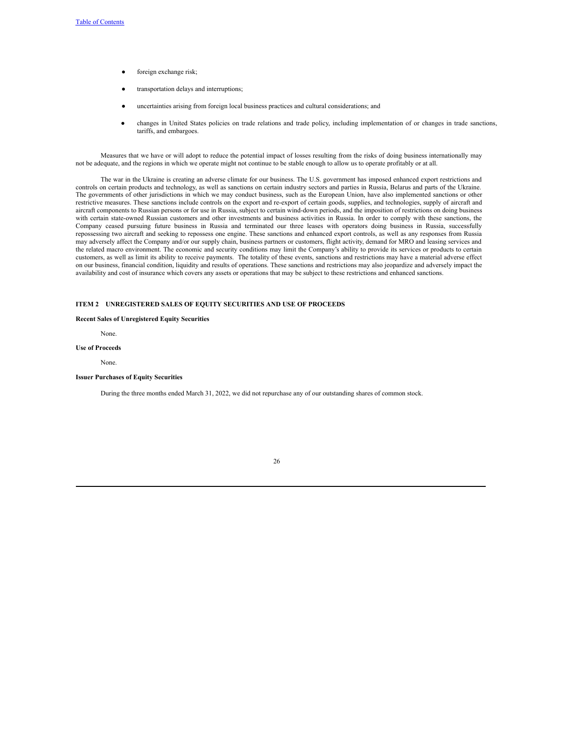- foreign exchange risk;
- transportation delays and interruptions;
- uncertainties arising from foreign local business practices and cultural considerations; and
- changes in United States policies on trade relations and trade policy, including implementation of or changes in trade sanctions, tariffs, and embargoes.

Measures that we have or will adopt to reduce the potential impact of losses resulting from the risks of doing business internationally may not be adequate, and the regions in which we operate might not continue to be stable enough to allow us to operate profitably or at all.

The war in the Ukraine is creating an adverse climate for our business. The U.S. government has imposed enhanced export restrictions and controls on certain products and technology, as well as sanctions on certain industry sectors and parties in Russia, Belarus and parts of the Ukraine. The governments of other jurisdictions in which we may conduct business, such as the European Union, have also implemented sanctions or other restrictive measures. These sanctions include controls on the export and re-export of certain goods, supplies, and technologies, supply of aircraft and aircraft components to Russian persons or for use in Russia, subject to certain wind-down periods, and the imposition of restrictions on doing business with certain state-owned Russian customers and other investments and business activities in Russia. In order to comply with these sanctions, the Company ceased pursuing future business in Russia and terminated our three leases with operators doing business in Russia, successfully repossessing two aircraft and seeking to repossess one engine. These sanctions and enhanced export controls, as well as any responses from Russia may adversely affect the Company and/or our supply chain, business partners or customers, flight activity, demand for MRO and leasing services and the related macro environment. The economic and security conditions may limit the Company's ability to provide its services or products to certain customers, as well as limit its ability to receive payments. The totality of these events, sanctions and restrictions may have a material adverse effect on our business, financial condition, liquidity and results of operations. These sanctions and restrictions may also jeopardize and adversely impact the availability and cost of insurance which covers any assets or operations that may be subject to these restrictions and enhanced sanctions.

## **ITEM 2 UNREGISTERED SALES OF EQUITY SECURITIES AND USE OF PROCEEDS**

### **Recent Sales of Unregistered Equity Securities**

None.

## **Use of Proceeds**

None.

### **Issuer Purchases of Equity Securities**

During the three months ended March 31, 2022, we did not repurchase any of our outstanding shares of common stock.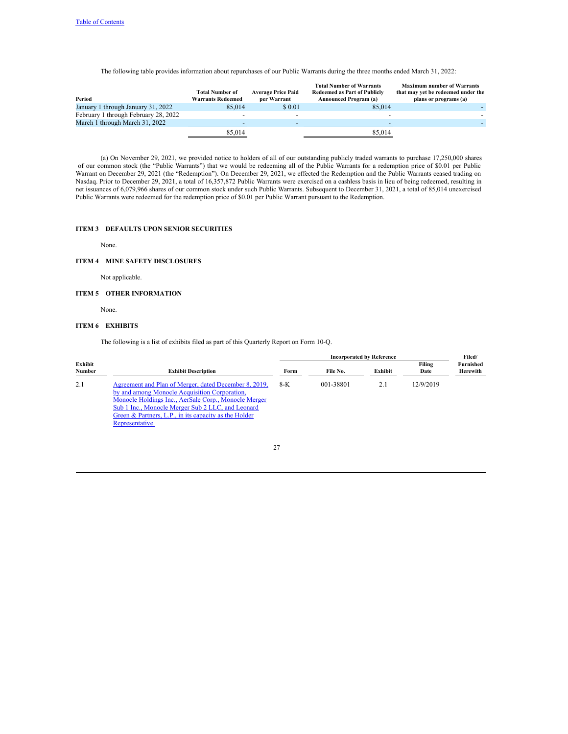The following table provides information about repurchases of our Public Warrants during the three months ended March 31, 2022:

| Period                               | <b>Total Number of</b><br><b>Warrants Redeemed</b> | <b>Average Price Paid</b><br>per Warrant | <b>Total Number of Warrants</b><br><b>Redeemed as Part of Publicly</b><br><b>Announced Program (a)</b> | <b>Maximum number of Warrants</b><br>that may yet be redeemed under the<br>plans or programs (a) |
|--------------------------------------|----------------------------------------------------|------------------------------------------|--------------------------------------------------------------------------------------------------------|--------------------------------------------------------------------------------------------------|
| January 1 through January 31, 2022   | 85,014                                             | \$ 0.01                                  | 85,014                                                                                                 |                                                                                                  |
| February 1 through February 28, 2022 |                                                    | $\overline{\phantom{0}}$                 |                                                                                                        |                                                                                                  |
| March 1 through March 31, 2022       |                                                    | $\overline{\phantom{a}}$                 |                                                                                                        |                                                                                                  |
|                                      | 85,014                                             |                                          | 85.014                                                                                                 |                                                                                                  |

(a) On November 29, 2021, we provided notice to holders of all of our outstanding publicly traded warrants to purchase 17,250,000 shares of our common stock (the "Public Warrants") that we would be redeeming all of the Public Warrants for a redemption price of \$0.01 per Public Warrant on December 29, 2021 (the "Redemption"). On December 29, 2021, we effected the Redemption and the Public Warrants ceased trading on Nasdaq. Prior to December 29, 2021, a total of 16,357,872 Public Warrants were exercised on a cashless basis in lieu of being redeemed, resulting in net issuances of 6,079,966 shares of our common stock under such Public Warrants. Subsequent to December 31, 2021, a total of 85,014 unexercised Public Warrants were redeemed for the redemption price of \$0.01 per Public Warrant pursuant to the Redemption.

# **ITEM 3 DEFAULTS UPON SENIOR SECURITIES**

None.

## **ITEM 4 MINE SAFETY DISCLOSURES**

Not applicable.

## **ITEM 5 OTHER INFORMATION**

None.

## **ITEM 6 EXHIBITS**

The following is a list of exhibits filed as part of this Quarterly Report on Form 10-Q.

|                   |                                                                                                                                                                                                                                                                                                 |      | Filed/    |         |                |                       |
|-------------------|-------------------------------------------------------------------------------------------------------------------------------------------------------------------------------------------------------------------------------------------------------------------------------------------------|------|-----------|---------|----------------|-----------------------|
| Exhibit<br>Number | <b>Exhibit Description</b>                                                                                                                                                                                                                                                                      | Form | File No.  | Exhibit | Filing<br>Date | Furnished<br>Herewith |
| 2.1               | Agreement and Plan of Merger, dated December 8, 2019,<br>by and among Monocle Acquisition Corporation,<br>Monocle Holdings Inc., AerSale Corp., Monocle Merger<br>Sub 1 Inc., Monocle Merger Sub 2 LLC, and Leonard<br>Green & Partners, L.P., in its capacity as the Holder<br>Representative. | 8-K  | 001-38801 | 2.1     | 12/9/2019      |                       |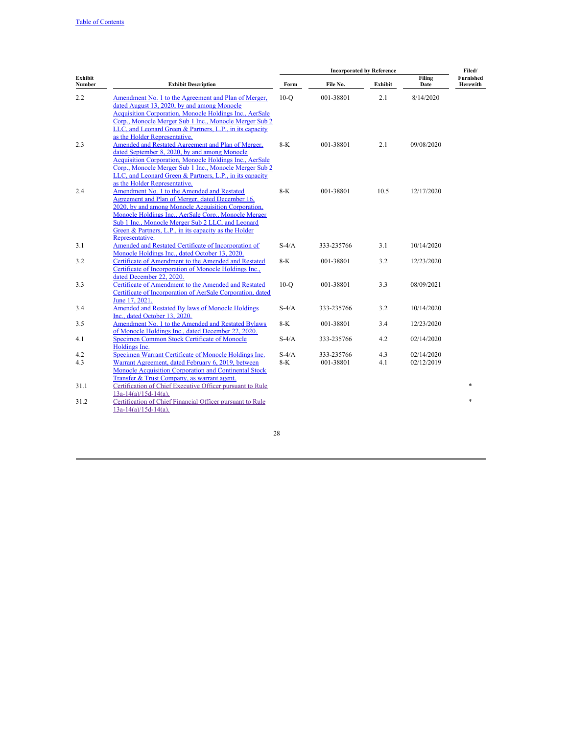|                   |                                                                                                                                                                                                                                                                                                                                                 |                  | Filed/                  |            |                          |                              |
|-------------------|-------------------------------------------------------------------------------------------------------------------------------------------------------------------------------------------------------------------------------------------------------------------------------------------------------------------------------------------------|------------------|-------------------------|------------|--------------------------|------------------------------|
| Exhibit<br>Number | <b>Exhibit Description</b>                                                                                                                                                                                                                                                                                                                      | Form             | File No.                | Exhibit    | Filing<br>Date           | <b>Furnished</b><br>Herewith |
| 2.2               | Amendment No. 1 to the Agreement and Plan of Merger,<br>dated August 13, 2020, by and among Monocle<br>Acquisition Corporation, Monocle Holdings Inc., AerSale<br>Corp., Monocle Merger Sub 1 Inc., Monocle Merger Sub 2<br>LLC, and Leonard Green & Partners, L.P., in its capacity<br>as the Holder Representative.                           | $10-O$           | 001-38801               | 2.1        | 8/14/2020                |                              |
| 2.3               | Amended and Restated Agreement and Plan of Merger,<br>dated September 8, 2020, by and among Monocle<br><b>Acquisition Corporation, Monocle Holdings Inc., AerSale</b><br>Corp., Monocle Merger Sub 1 Inc., Monocle Merger Sub 2<br>LLC, and Leonard Green & Partners, L.P., in its capacity<br>as the Holder Representative.                    | $8-K$            | 001-38801               | 2.1        | 09/08/2020               |                              |
| 2.4               | Amendment No. 1 to the Amended and Restated<br>Agreement and Plan of Merger, dated December 16,<br>2020, by and among Monocle Acquisition Corporation,<br>Monocle Holdings Inc., AerSale Corp., Monocle Merger<br>Sub 1 Inc., Monocle Merger Sub 2 LLC, and Leonard<br>Green & Partners, L.P., in its capacity as the Holder<br>Representative. | $8-K$            | 001-38801               | 10.5       | 12/17/2020               |                              |
| 3.1               | Amended and Restated Certificate of Incorporation of<br>Monocle Holdings Inc., dated October 13, 2020.                                                                                                                                                                                                                                          | $S-4/A$          | 333-235766              | 3.1        | 10/14/2020               |                              |
| 3.2               | Certificate of Amendment to the Amended and Restated<br>Certificate of Incorporation of Monocle Holdings Inc.,<br>dated December 22, 2020.                                                                                                                                                                                                      | $8-K$            | 001-38801               | 3.2        | 12/23/2020               |                              |
| 3.3               | Certificate of Amendment to the Amended and Restated<br>Certificate of Incorporation of AerSale Corporation, dated<br>June 17, 2021.                                                                                                                                                                                                            | $10-o$           | 001-38801               | 3.3        | 08/09/2021               |                              |
| 3.4               | Amended and Restated By laws of Monocle Holdings<br>Inc., dated October 13, 2020.                                                                                                                                                                                                                                                               | $S-4/A$          | 333-235766              | 3.2        | 10/14/2020               |                              |
| 3.5               | Amendment No. 1 to the Amended and Restated Bylaws<br>of Monocle Holdings Inc., dated December 22, 2020.                                                                                                                                                                                                                                        | $8-K$            | 001-38801               | 3.4        | 12/23/2020               |                              |
| 4.1               | Specimen Common Stock Certificate of Monocle<br>Holdings Inc.                                                                                                                                                                                                                                                                                   | $S-4/A$          | 333-235766              | 4.2        | 02/14/2020               |                              |
| 4.2<br>4.3        | Specimen Warrant Certificate of Monocle Holdings Inc.<br>Warrant Agreement, dated February 6, 2019, between<br>Monocle Acquisition Corporation and Continental Stock<br>Transfer & Trust Company, as warrant agent.                                                                                                                             | $S-4/A$<br>$8-K$ | 333-235766<br>001-38801 | 4.3<br>4.1 | 02/14/2020<br>02/12/2019 |                              |
| 31.1              | Certification of Chief Executive Officer pursuant to Rule<br>$13a-14(a)/15d-14(a)$ .                                                                                                                                                                                                                                                            |                  |                         |            |                          |                              |
| 31.2              | Certification of Chief Financial Officer pursuant to Rule<br>$13a-14(a)/15d-14(a)$ .                                                                                                                                                                                                                                                            |                  |                         |            |                          | $\ast$                       |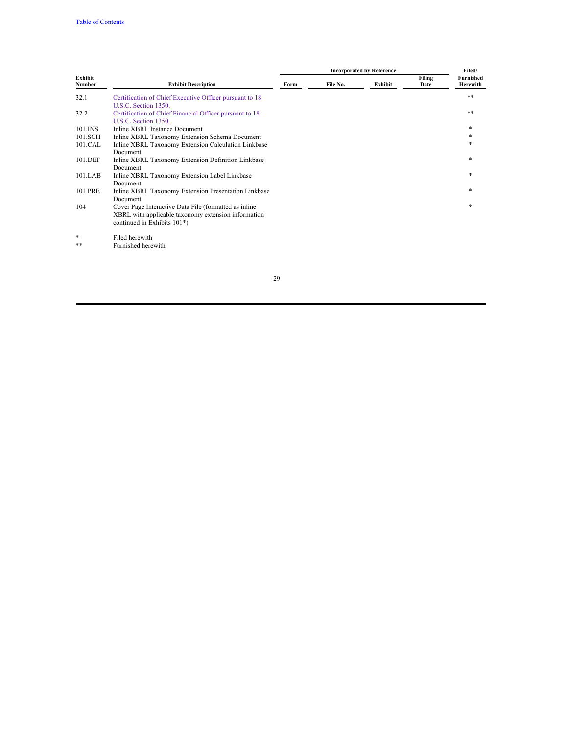|                   |                                                                                                         |      | Filed/   |         |                |                       |
|-------------------|---------------------------------------------------------------------------------------------------------|------|----------|---------|----------------|-----------------------|
| Exhibit<br>Number | <b>Exhibit Description</b>                                                                              | Form | File No. | Exhibit | Filing<br>Date | Furnished<br>Herewith |
| 32.1              | Certification of Chief Executive Officer pursuant to 18                                                 |      |          |         |                | **                    |
| 32.2              | U.S.C. Section 1350.<br>Certification of Chief Financial Officer pursuant to 18<br>U.S.C. Section 1350. |      |          |         |                | $***$                 |
| 101.INS           | Inline XBRL Instance Document                                                                           |      |          |         |                | *                     |
| 101.SCH           | Inline XBRL Taxonomy Extension Schema Document                                                          |      |          |         |                | $\ast$                |
| 101.CAL           | Inline XBRL Taxonomy Extension Calculation Linkbase                                                     |      |          |         |                | $\ast$                |
|                   | Document                                                                                                |      |          |         |                |                       |
| 101.DEF           | Inline XBRL Taxonomy Extension Definition Linkbase                                                      |      |          |         |                | *                     |
|                   | Document                                                                                                |      |          |         |                |                       |
| 101.LAB           | Inline XBRL Taxonomy Extension Label Linkbase                                                           |      |          |         |                | *                     |
|                   | Document                                                                                                |      |          |         |                |                       |
| 101.PRE           | Inline XBRL Taxonomy Extension Presentation Linkbase                                                    |      |          |         |                | *                     |
|                   | Document                                                                                                |      |          |         |                |                       |
| 104               | Cover Page Interactive Data File (formatted as inline                                                   |      |          |         |                | *                     |
|                   | XBRL with applicable taxonomy extension information<br>continued in Exhibits 101*)                      |      |          |         |                |                       |
| *                 | Filed herewith                                                                                          |      |          |         |                |                       |

\*\* Furnished herewith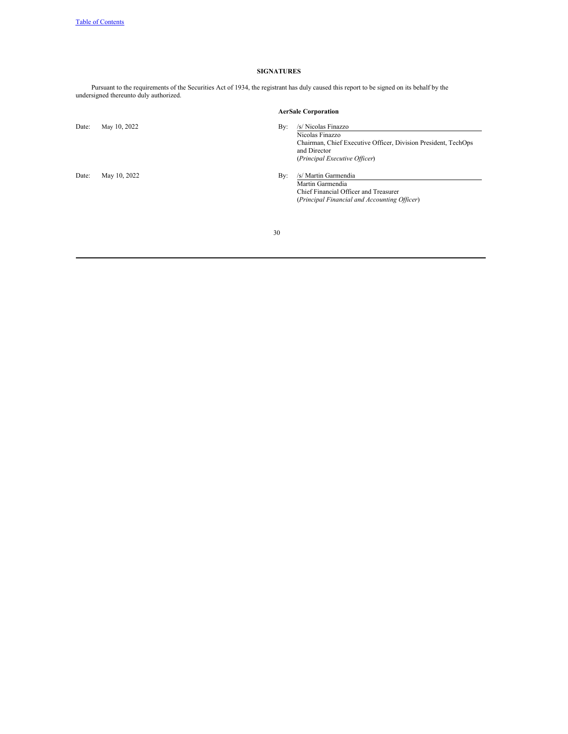# **SIGNATURES**

Pursuant to the requirements of the Securities Act of 1934, the registrant has duly caused this report to be signed on its behalf by the undersigned thereunto duly authorized.

|       |              |     | <b>AerSale Corporation</b>                                                                                                                                |
|-------|--------------|-----|-----------------------------------------------------------------------------------------------------------------------------------------------------------|
| Date: | May 10, 2022 | By: | /s/ Nicolas Finazzo<br>Nicolas Finazzo<br>Chairman, Chief Executive Officer, Division President, TechOps<br>and Director<br>(Principal Executive Officer) |
| Date: | May 10, 2022 | By: | /s/ Martin Garmendia<br>Martin Garmendia<br>Chief Financial Officer and Treasurer<br>(Principal Financial and Accounting Officer)                         |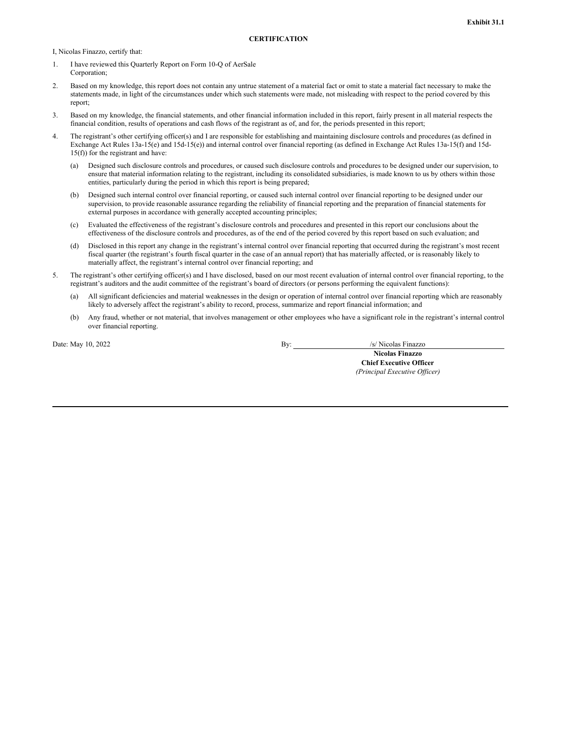<span id="page-33-0"></span>I, Nicolas Finazzo, certify that:

- 1. I have reviewed this Quarterly Report on Form 10-Q of AerSale Corporation;
- 2. Based on my knowledge, this report does not contain any untrue statement of a material fact or omit to state a material fact necessary to make the statements made, in light of the circumstances under which such statements were made, not misleading with respect to the period covered by this report;
- 3. Based on my knowledge, the financial statements, and other financial information included in this report, fairly present in all material respects the financial condition, results of operations and cash flows of the registrant as of, and for, the periods presented in this report;
- 4. The registrant's other certifying officer(s) and I are responsible for establishing and maintaining disclosure controls and procedures (as defined in Exchange Act Rules 13a-15(e) and 15d-15(e)) and internal control over financial reporting (as defined in Exchange Act Rules 13a-15(f) and 15d-15(f)) for the registrant and have:
	- (a) Designed such disclosure controls and procedures, or caused such disclosure controls and procedures to be designed under our supervision, to ensure that material information relating to the registrant, including its consolidated subsidiaries, is made known to us by others within those entities, particularly during the period in which this report is being prepared;
	- (b) Designed such internal control over financial reporting, or caused such internal control over financial reporting to be designed under our supervision, to provide reasonable assurance regarding the reliability of financial reporting and the preparation of financial statements for external purposes in accordance with generally accepted accounting principles;
	- (c) Evaluated the effectiveness of the registrant's disclosure controls and procedures and presented in this report our conclusions about the effectiveness of the disclosure controls and procedures, as of the end of the period covered by this report based on such evaluation; and
	- (d) Disclosed in this report any change in the registrant's internal control over financial reporting that occurred during the registrant's most recent fiscal quarter (the registrant's fourth fiscal quarter in the case of an annual report) that has materially affected, or is reasonably likely to materially affect, the registrant's internal control over financial reporting; and
- 5. The registrant's other certifying officer(s) and I have disclosed, based on our most recent evaluation of internal control over financial reporting, to the registrant's auditors and the audit committee of the registrant's board of directors (or persons performing the equivalent functions):
	- (a) All significant deficiencies and material weaknesses in the design or operation of internal control over financial reporting which are reasonably likely to adversely affect the registrant's ability to record, process, summarize and report financial information; and
	- (b) Any fraud, whether or not material, that involves management or other employees who have a significant role in the registrant's internal control over financial reporting.

Date: May 10, 2022 By: /s/ Nicolas Finazzo

**Nicolas Finazzo**

**Chief Executive Officer** *(Principal Executive Of icer)*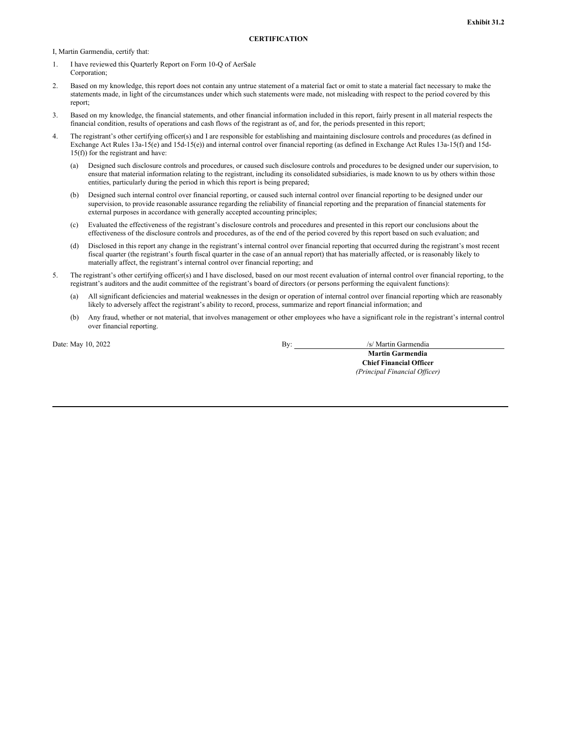<span id="page-34-0"></span>I, Martin Garmendia, certify that:

- 1. I have reviewed this Quarterly Report on Form 10-Q of AerSale Corporation;
- 2. Based on my knowledge, this report does not contain any untrue statement of a material fact or omit to state a material fact necessary to make the statements made, in light of the circumstances under which such statements were made, not misleading with respect to the period covered by this report;
- 3. Based on my knowledge, the financial statements, and other financial information included in this report, fairly present in all material respects the financial condition, results of operations and cash flows of the registrant as of, and for, the periods presented in this report;
- 4. The registrant's other certifying officer(s) and I are responsible for establishing and maintaining disclosure controls and procedures (as defined in Exchange Act Rules 13a-15(e) and 15d-15(e)) and internal control over financial reporting (as defined in Exchange Act Rules 13a-15(f) and 15d-15(f)) for the registrant and have:
	- (a) Designed such disclosure controls and procedures, or caused such disclosure controls and procedures to be designed under our supervision, to ensure that material information relating to the registrant, including its consolidated subsidiaries, is made known to us by others within those entities, particularly during the period in which this report is being prepared;
	- (b) Designed such internal control over financial reporting, or caused such internal control over financial reporting to be designed under our supervision, to provide reasonable assurance regarding the reliability of financial reporting and the preparation of financial statements for external purposes in accordance with generally accepted accounting principles;
	- (c) Evaluated the effectiveness of the registrant's disclosure controls and procedures and presented in this report our conclusions about the effectiveness of the disclosure controls and procedures, as of the end of the period covered by this report based on such evaluation; and
	- (d) Disclosed in this report any change in the registrant's internal control over financial reporting that occurred during the registrant's most recent fiscal quarter (the registrant's fourth fiscal quarter in the case of an annual report) that has materially affected, or is reasonably likely to materially affect, the registrant's internal control over financial reporting; and
- 5. The registrant's other certifying officer(s) and I have disclosed, based on our most recent evaluation of internal control over financial reporting, to the registrant's auditors and the audit committee of the registrant's board of directors (or persons performing the equivalent functions):
	- (a) All significant deficiencies and material weaknesses in the design or operation of internal control over financial reporting which are reasonably likely to adversely affect the registrant's ability to record, process, summarize and report financial information; and
	- (b) Any fraud, whether or not material, that involves management or other employees who have a significant role in the registrant's internal control over financial reporting.

Date: May 10, 2022 By: /s/ Martin Garmendia

**Martin Garmendia Chief Financial Officer** *(Principal Financial Of icer)*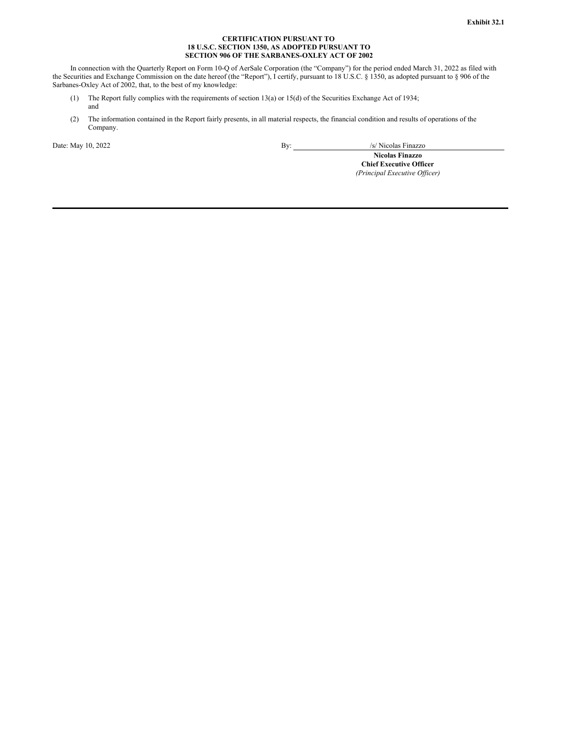## **CERTIFICATION PURSUANT TO 18 U.S.C. SECTION 1350, AS ADOPTED PURSUANT TO SECTION 906 OF THE SARBANES-OXLEY ACT OF 2002**

<span id="page-35-0"></span>In connection with the Quarterly Report on Form 10-Q of AerSale Corporation (the "Company") for the period ended March 31, 2022 as filed with the Securities and Exchange Commission on the date hereof (the "Report"), I certify, pursuant to 18 U.S.C. § 1350, as adopted pursuant to § 906 of the Sarbanes-Oxley Act of 2002, that, to the best of my knowledge:

- (1) The Report fully complies with the requirements of section 13(a) or 15(d) of the Securities Exchange Act of 1934; and
- (2) The information contained in the Report fairly presents, in all material respects, the financial condition and results of operations of the Company.

Date: May 10, 2022 By: /s/ Nicolas Finazzo

**Nicolas Finazzo**

**Chief Executive Officer** *(Principal Executive Of icer)*